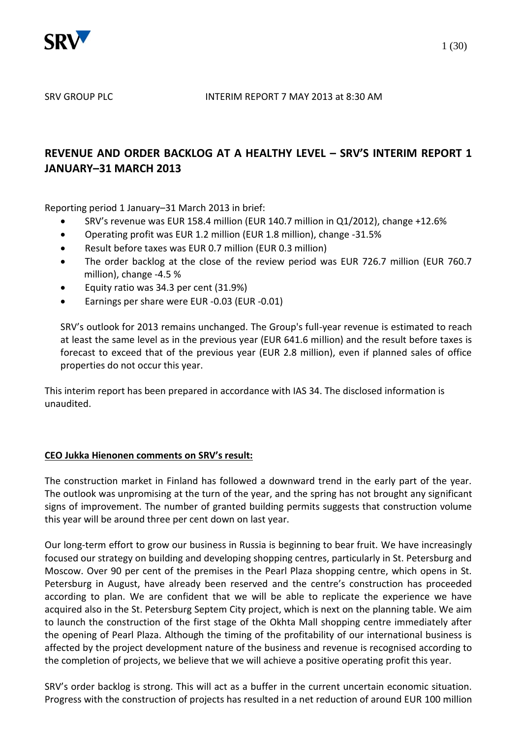

# **REVENUE AND ORDER BACKLOG AT A HEALTHY LEVEL – SRV'S INTERIM REPORT 1 JANUARY–31 MARCH 2013**

Reporting period 1 January–31 March 2013 in brief:

- SRV's revenue was EUR 158.4 million (EUR 140.7 million in Q1/2012), change +12.6%
- Operating profit was EUR 1.2 million (EUR 1.8 million), change -31.5%
- Result before taxes was EUR 0.7 million (EUR 0.3 million)
- The order backlog at the close of the review period was EUR 726.7 million (EUR 760.7 million), change -4.5 %
- Equity ratio was 34.3 per cent (31.9%)
- Earnings per share were EUR -0.03 (EUR -0.01)

SRV's outlook for 2013 remains unchanged. The Group's full-year revenue is estimated to reach at least the same level as in the previous year (EUR 641.6 million) and the result before taxes is forecast to exceed that of the previous year (EUR 2.8 million), even if planned sales of office properties do not occur this year.

This interim report has been prepared in accordance with IAS 34. The disclosed information is unaudited.

## **CEO Jukka Hienonen comments on SRV's result:**

The construction market in Finland has followed a downward trend in the early part of the year. The outlook was unpromising at the turn of the year, and the spring has not brought any significant signs of improvement. The number of granted building permits suggests that construction volume this year will be around three per cent down on last year.

Our long-term effort to grow our business in Russia is beginning to bear fruit. We have increasingly focused our strategy on building and developing shopping centres, particularly in St. Petersburg and Moscow. Over 90 per cent of the premises in the Pearl Plaza shopping centre, which opens in St. Petersburg in August, have already been reserved and the centre's construction has proceeded according to plan. We are confident that we will be able to replicate the experience we have acquired also in the St. Petersburg Septem City project, which is next on the planning table. We aim to launch the construction of the first stage of the Okhta Mall shopping centre immediately after the opening of Pearl Plaza. Although the timing of the profitability of our international business is affected by the project development nature of the business and revenue is recognised according to the completion of projects, we believe that we will achieve a positive operating profit this year.

SRV's order backlog is strong. This will act as a buffer in the current uncertain economic situation. Progress with the construction of projects has resulted in a net reduction of around EUR 100 million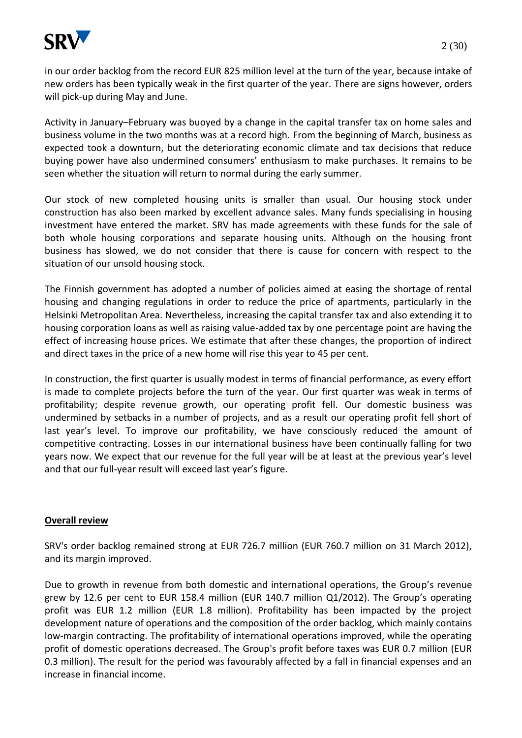

in our order backlog from the record EUR 825 million level at the turn of the year, because intake of new orders has been typically weak in the first quarter of the year. There are signs however, orders will pick-up during May and June.

Activity in January–February was buoyed by a change in the capital transfer tax on home sales and business volume in the two months was at a record high. From the beginning of March, business as expected took a downturn, but the deteriorating economic climate and tax decisions that reduce buying power have also undermined consumers' enthusiasm to make purchases. It remains to be seen whether the situation will return to normal during the early summer.

Our stock of new completed housing units is smaller than usual. Our housing stock under construction has also been marked by excellent advance sales. Many funds specialising in housing investment have entered the market. SRV has made agreements with these funds for the sale of both whole housing corporations and separate housing units. Although on the housing front business has slowed, we do not consider that there is cause for concern with respect to the situation of our unsold housing stock.

The Finnish government has adopted a number of policies aimed at easing the shortage of rental housing and changing regulations in order to reduce the price of apartments, particularly in the Helsinki Metropolitan Area. Nevertheless, increasing the capital transfer tax and also extending it to housing corporation loans as well as raising value-added tax by one percentage point are having the effect of increasing house prices. We estimate that after these changes, the proportion of indirect and direct taxes in the price of a new home will rise this year to 45 per cent.

In construction, the first quarter is usually modest in terms of financial performance, as every effort is made to complete projects before the turn of the year. Our first quarter was weak in terms of profitability; despite revenue growth, our operating profit fell. Our domestic business was undermined by setbacks in a number of projects, and as a result our operating profit fell short of last year's level. To improve our profitability, we have consciously reduced the amount of competitive contracting. Losses in our international business have been continually falling for two years now. We expect that our revenue for the full year will be at least at the previous year's level and that our full-year result will exceed last year's figure.

## **Overall review**

SRV's order backlog remained strong at EUR 726.7 million (EUR 760.7 million on 31 March 2012), and its margin improved.

Due to growth in revenue from both domestic and international operations, the Group's revenue grew by 12.6 per cent to EUR 158.4 million (EUR 140.7 million Q1/2012). The Group's operating profit was EUR 1.2 million (EUR 1.8 million). Profitability has been impacted by the project development nature of operations and the composition of the order backlog, which mainly contains low-margin contracting. The profitability of international operations improved, while the operating profit of domestic operations decreased. The Group's profit before taxes was EUR 0.7 million (EUR 0.3 million). The result for the period was favourably affected by a fall in financial expenses and an increase in financial income.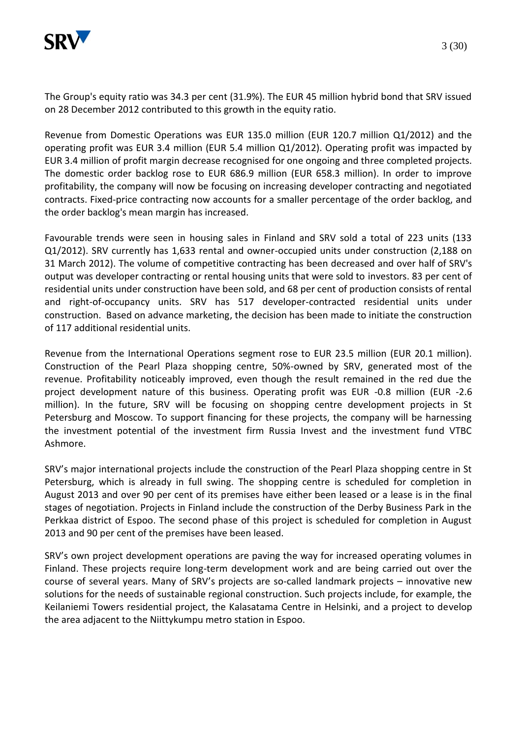

The Group's equity ratio was 34.3 per cent (31.9%). The EUR 45 million hybrid bond that SRV issued on 28 December 2012 contributed to this growth in the equity ratio.

Revenue from Domestic Operations was EUR 135.0 million (EUR 120.7 million Q1/2012) and the operating profit was EUR 3.4 million (EUR 5.4 million Q1/2012). Operating profit was impacted by EUR 3.4 million of profit margin decrease recognised for one ongoing and three completed projects. The domestic order backlog rose to EUR 686.9 million (EUR 658.3 million). In order to improve profitability, the company will now be focusing on increasing developer contracting and negotiated contracts. Fixed-price contracting now accounts for a smaller percentage of the order backlog, and the order backlog's mean margin has increased.

Favourable trends were seen in housing sales in Finland and SRV sold a total of 223 units (133 Q1/2012). SRV currently has 1,633 rental and owner-occupied units under construction (2,188 on 31 March 2012). The volume of competitive contracting has been decreased and over half of SRV's output was developer contracting or rental housing units that were sold to investors. 83 per cent of residential units under construction have been sold, and 68 per cent of production consists of rental and right-of-occupancy units. SRV has 517 developer-contracted residential units under construction. Based on advance marketing, the decision has been made to initiate the construction of 117 additional residential units.

Revenue from the International Operations segment rose to EUR 23.5 million (EUR 20.1 million). Construction of the Pearl Plaza shopping centre, 50%-owned by SRV, generated most of the revenue. Profitability noticeably improved, even though the result remained in the red due the project development nature of this business. Operating profit was EUR -0.8 million (EUR -2.6 million). In the future, SRV will be focusing on shopping centre development projects in St Petersburg and Moscow. To support financing for these projects, the company will be harnessing the investment potential of the investment firm Russia Invest and the investment fund VTBC Ashmore.

SRV's major international projects include the construction of the Pearl Plaza shopping centre in St Petersburg, which is already in full swing. The shopping centre is scheduled for completion in August 2013 and over 90 per cent of its premises have either been leased or a lease is in the final stages of negotiation. Projects in Finland include the construction of the Derby Business Park in the Perkkaa district of Espoo. The second phase of this project is scheduled for completion in August 2013 and 90 per cent of the premises have been leased.

SRV's own project development operations are paving the way for increased operating volumes in Finland. These projects require long-term development work and are being carried out over the course of several years. Many of SRV's projects are so-called landmark projects – innovative new solutions for the needs of sustainable regional construction. Such projects include, for example, the Keilaniemi Towers residential project, the Kalasatama Centre in Helsinki, and a project to develop the area adjacent to the Niittykumpu metro station in Espoo.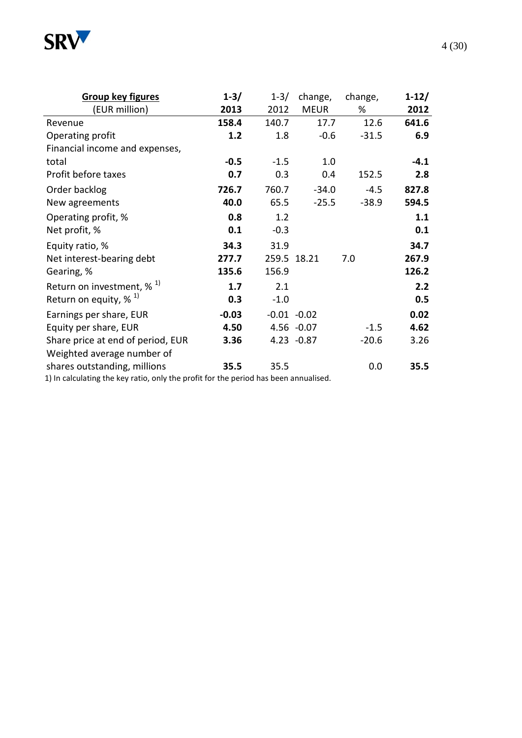

| <b>Group key figures</b>                 | $1 - 3/$ | $1 - 3/$ | change,        | change, | $1 - 12/$ |
|------------------------------------------|----------|----------|----------------|---------|-----------|
| (EUR million)                            | 2013     | 2012     | <b>MEUR</b>    | %       | 2012      |
| Revenue                                  | 158.4    | 140.7    | 17.7           | 12.6    | 641.6     |
| Operating profit                         | 1.2      | 1.8      | $-0.6$         | $-31.5$ | 6.9       |
| Financial income and expenses,           |          |          |                |         |           |
| total                                    | $-0.5$   | $-1.5$   | 1.0            |         | $-4.1$    |
| Profit before taxes                      | 0.7      | 0.3      | 0.4            | 152.5   | 2.8       |
| Order backlog                            | 726.7    | 760.7    | $-34.0$        | $-4.5$  | 827.8     |
| New agreements                           | 40.0     | 65.5     | $-25.5$        | $-38.9$ | 594.5     |
| Operating profit, %                      | 0.8      | 1.2      |                |         | 1.1       |
| Net profit, %                            | 0.1      | $-0.3$   |                |         | 0.1       |
| Equity ratio, %                          | 34.3     | 31.9     |                |         | 34.7      |
| Net interest-bearing debt                | 277.7    |          | 259.5 18.21    | 7.0     | 267.9     |
| Gearing, %                               | 135.6    | 156.9    |                |         | 126.2     |
| Return on investment, $\%$ <sup>1)</sup> | 1.7      | 2.1      |                |         | 2.2       |
| Return on equity, $\%$ <sup>1)</sup>     | 0.3      | $-1.0$   |                |         | 0.5       |
| Earnings per share, EUR                  | $-0.03$  |          | $-0.01 - 0.02$ |         | 0.02      |
| Equity per share, EUR                    | 4.50     |          | $4.56 - 0.07$  | $-1.5$  | 4.62      |
| Share price at end of period, EUR        | 3.36     |          | $4.23 - 0.87$  | $-20.6$ | 3.26      |
| Weighted average number of               |          |          |                |         |           |
| shares outstanding, millions             | 35.5     | 35.5     |                | 0.0     | 35.5      |

1) In calculating the key ratio, only the profit for the period has been annualised.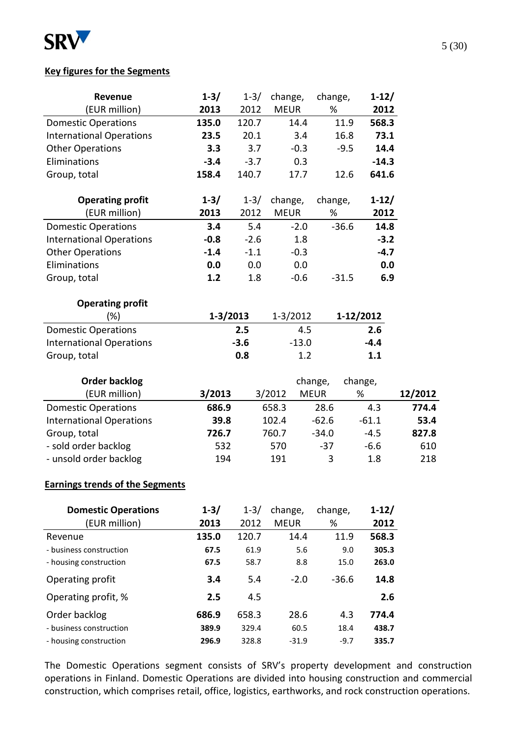

## **Key figures for the Segments**

| Revenue                         | $1 - 3/$ | $1 - 3/$     | change,      | change,     | $1 - 12/$       |         |
|---------------------------------|----------|--------------|--------------|-------------|-----------------|---------|
| (EUR million)                   | 2013     | 2012         | <b>MEUR</b>  | %           | 2012            |         |
| <b>Domestic Operations</b>      | 135.0    | 120.7        | 14.4         |             | 11.9<br>568.3   |         |
| <b>International Operations</b> | 23.5     | 20.1         | 3.4          |             | 16.8<br>73.1    |         |
| <b>Other Operations</b>         | 3.3      | 3.7          | $-0.3$       |             | $-9.5$<br>14.4  |         |
| Eliminations                    | $-3.4$   | $-3.7$       | 0.3          |             | $-14.3$         |         |
| Group, total                    | 158.4    | 140.7        | 17.7         |             | 641.6<br>12.6   |         |
| <b>Operating profit</b>         | $1 - 3/$ | $1 - 3/$     | change,      | change,     | $1-12/$         |         |
| (EUR million)                   | 2013     | 2012         | <b>MEUR</b>  | %           | 2012            |         |
| <b>Domestic Operations</b>      | 3.4      | 5.4          | $-2.0$       |             | $-36.6$<br>14.8 |         |
| <b>International Operations</b> | $-0.8$   | $-2.6$       | 1.8          |             | $-3.2$          |         |
| <b>Other Operations</b>         | $-1.4$   | $-1.1$       | $-0.3$       |             | $-4.7$          |         |
| Eliminations                    | 0.0      | 0.0          | 0.0          |             | 0.0             |         |
| Group, total                    | 1.2      | 1.8          | $-0.6$       |             | 6.9<br>$-31.5$  |         |
| <b>Operating profit</b>         |          |              |              |             |                 |         |
| $(\%)$                          |          | $1 - 3/2013$ | $1 - 3/2012$ |             | 1-12/2012       |         |
| <b>Domestic Operations</b>      |          | 2.5          | 4.5          |             | 2.6             |         |
| <b>International Operations</b> |          | $-3.6$       | $-13.0$      |             | $-4.4$          |         |
| Group, total                    |          | 0.8          | 1.2          |             | 1.1             |         |
| <b>Order backlog</b>            |          |              |              | change,     | change,         |         |
| (EUR million)                   | 3/2013   |              | 3/2012       | <b>MEUR</b> | %               | 12/2012 |
| <b>Domestic Operations</b>      | 686.9    |              | 658.3        | 28.6        | 4.3             | 774.4   |
| <b>International Operations</b> | 39.8     |              | 102.4        | $-62.6$     | $-61.1$         | 53.4    |
| Group, total                    | 726.7    |              | 760.7        | $-34.0$     | $-4.5$          | 827.8   |
| - sold order backlog            | 532      |              | 570          | $-37$       | $-6.6$          | 610     |
| - unsold order backlog          | 194      |              | 191          | 3           | 1.8             | 218     |

# **Earnings trends of the Segments**

| <b>Domestic Operations</b> | $1 - 3/$ | $1 - 3/$ | change,     | change, | $1 - 12/$ |
|----------------------------|----------|----------|-------------|---------|-----------|
| (EUR million)              | 2013     | 2012     | <b>MFUR</b> | %       | 2012      |
| Revenue                    | 135.0    | 120.7    | 14.4        | 11.9    | 568.3     |
| - business construction    | 67.5     | 61.9     | 5.6         | 9.0     | 305.3     |
| - housing construction     | 67.5     | 58.7     | 8.8         | 15.0    | 263.0     |
| Operating profit           | 3.4      | 5.4      | $-2.0$      | $-36.6$ | 14.8      |
| Operating profit, %        | 2.5      | 4.5      |             |         | 2.6       |
| Order backlog              | 686.9    | 658.3    | 28.6        | 4.3     | 774.4     |
| - business construction    | 389.9    | 329.4    | 60.5        | 18.4    | 438.7     |
| - housing construction     | 296.9    | 328.8    | $-31.9$     | $-9.7$  | 335.7     |

The Domestic Operations segment consists of SRV's property development and construction operations in Finland. Domestic Operations are divided into housing construction and commercial construction, which comprises retail, office, logistics, earthworks, and rock construction operations.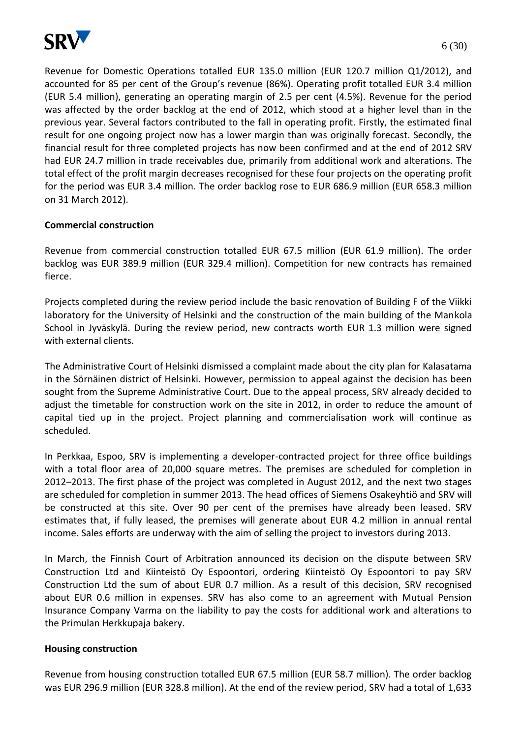

Revenue for Domestic Operations totalled EUR 135.0 million (EUR 120.7 million Q1/2012), and accounted for 85 per cent of the Group's revenue (86%). Operating profit totalled EUR 3.4 million (EUR 5.4 million), generating an operating margin of 2.5 per cent (4.5%). Revenue for the period was affected by the order backlog at the end of 2012, which stood at a higher level than in the previous year. Several factors contributed to the fall in operating profit. Firstly, the estimated final result for one ongoing project now has a lower margin than was originally forecast. Secondly, the financial result for three completed projects has now been confirmed and at the end of 2012 SRV had EUR 24.7 million in trade receivables due, primarily from additional work and alterations. The total effect of the profit margin decreases recognised for these four projects on the operating profit for the period was EUR 3.4 million. The order backlog rose to EUR 686.9 million (EUR 658.3 million on 31 March 2012).

## **Commercial construction**

Revenue from commercial construction totalled EUR 67.5 million (EUR 61.9 million). The order backlog was EUR 389.9 million (EUR 329.4 million). Competition for new contracts has remained fierce.

Projects completed during the review period include the basic renovation of Building F of the Viikki laboratory for the University of Helsinki and the construction of the main building of the Mankola School in Jyväskylä. During the review period, new contracts worth EUR 1.3 million were signed with external clients.

The Administrative Court of Helsinki dismissed a complaint made about the city plan for Kalasatama in the Sörnäinen district of Helsinki. However, permission to appeal against the decision has been sought from the Supreme Administrative Court. Due to the appeal process, SRV already decided to adjust the timetable for construction work on the site in 2012, in order to reduce the amount of capital tied up in the project. Project planning and commercialisation work will continue as scheduled.

In Perkkaa, Espoo, SRV is implementing a developer-contracted project for three office buildings with a total floor area of 20,000 square metres. The premises are scheduled for completion in 2012–2013. The first phase of the project was completed in August 2012, and the next two stages are scheduled for completion in summer 2013. The head offices of Siemens Osakeyhtiö and SRV will be constructed at this site. Over 90 per cent of the premises have already been leased. SRV estimates that, if fully leased, the premises will generate about EUR 4.2 million in annual rental income. Sales efforts are underway with the aim of selling the project to investors during 2013.

In March, the Finnish Court of Arbitration announced its decision on the dispute between SRV Construction Ltd and Kiinteistö Oy Espoontori, ordering Kiinteistö Oy Espoontori to pay SRV Construction Ltd the sum of about EUR 0.7 million. As a result of this decision, SRV recognised about EUR 0.6 million in expenses. SRV has also come to an agreement with Mutual Pension Insurance Company Varma on the liability to pay the costs for additional work and alterations to the Primulan Herkkupaja bakery.

## **Housing construction**

Revenue from housing construction totalled EUR 67.5 million (EUR 58.7 million). The order backlog was EUR 296.9 million (EUR 328.8 million). At the end of the review period, SRV had a total of 1,633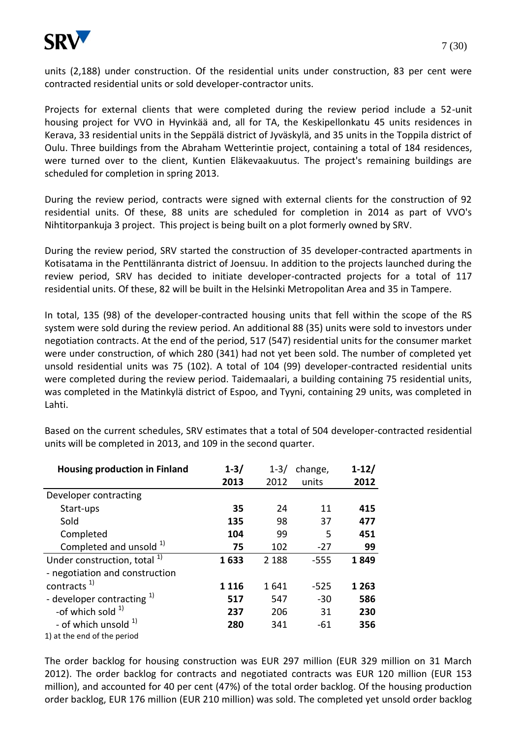

units (2,188) under construction. Of the residential units under construction, 83 per cent were contracted residential units or sold developer-contractor units.

Projects for external clients that were completed during the review period include a 52-unit housing project for VVO in Hyvinkää and, all for TA, the Keskipellonkatu 45 units residences in Kerava, 33 residential units in the Seppälä district of Jyväskylä, and 35 units in the Toppila district of Oulu. Three buildings from the Abraham Wetterintie project, containing a total of 184 residences, were turned over to the client, Kuntien Eläkevaakuutus. The project's remaining buildings are scheduled for completion in spring 2013.

During the review period, contracts were signed with external clients for the construction of 92 residential units. Of these, 88 units are scheduled for completion in 2014 as part of VVO's Nihtitorpankuja 3 project. This project is being built on a plot formerly owned by SRV.

During the review period, SRV started the construction of 35 developer-contracted apartments in Kotisatama in the Penttilänranta district of Joensuu. In addition to the projects launched during the review period, SRV has decided to initiate developer-contracted projects for a total of 117 residential units. Of these, 82 will be built in the Helsinki Metropolitan Area and 35 in Tampere.

In total, 135 (98) of the developer-contracted housing units that fell within the scope of the RS system were sold during the review period. An additional 88 (35) units were sold to investors under negotiation contracts. At the end of the period, 517 (547) residential units for the consumer market were under construction, of which 280 (341) had not yet been sold. The number of completed yet unsold residential units was 75 (102). A total of 104 (99) developer-contracted residential units were completed during the review period. Taidemaalari, a building containing 75 residential units, was completed in the Matinkylä district of Espoo, and Tyyni, containing 29 units, was completed in Lahti.

| <b>Housing production in Finland</b>    | $1 - 3/$ | $1 - 3/$ | change, | $1 - 12/$ |
|-----------------------------------------|----------|----------|---------|-----------|
|                                         | 2013     | 2012     | units   | 2012      |
| Developer contracting                   |          |          |         |           |
| Start-ups                               | 35       | 24       | 11      | 415       |
| Sold                                    | 135      | 98       | 37      | 477       |
| Completed                               | 104      | 99       | 5       | 451       |
| Completed and unsold 1)                 | 75       | 102      | $-27$   | 99        |
| Under construction, total <sup>1)</sup> | 1633     | 2 1 8 8  | $-555$  | 1849      |
| - negotiation and construction          |          |          |         |           |
| contracts <sup>1)</sup>                 | 1 1 1 6  | 1641     | $-525$  | 1 2 6 3   |
| - developer contracting $1$             | 517      | 547      | $-30$   | 586       |
| -of which sold $1$                      | 237      | 206      | 31      | 230       |
| - of which unsold <sup>1)</sup>         | 280      | 341      | -61     | 356       |
| 1) at the end of the period             |          |          |         |           |

Based on the current schedules, SRV estimates that a total of 504 developer-contracted residential units will be completed in 2013, and 109 in the second quarter.

The order backlog for housing construction was EUR 297 million (EUR 329 million on 31 March 2012). The order backlog for contracts and negotiated contracts was EUR 120 million (EUR 153 million), and accounted for 40 per cent (47%) of the total order backlog. Of the housing production order backlog, EUR 176 million (EUR 210 million) was sold. The completed yet unsold order backlog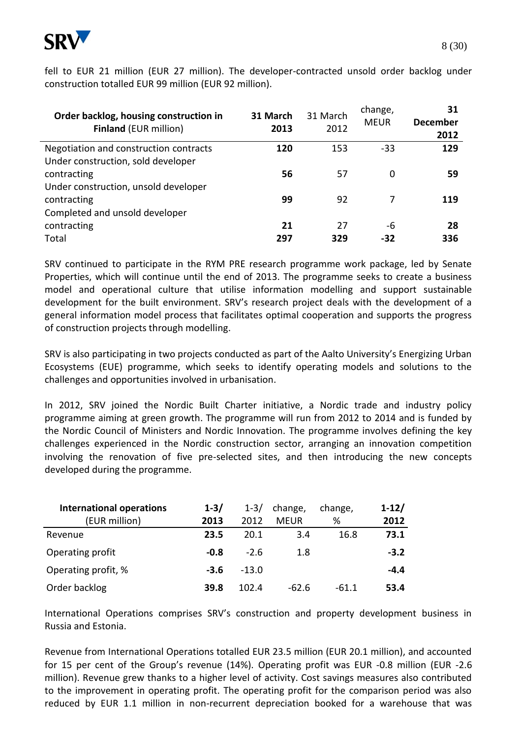

fell to EUR 21 million (EUR 27 million). The developer-contracted unsold order backlog under construction totalled EUR 99 million (EUR 92 million).

| Order backlog, housing construction in<br><b>Finland (EUR million)</b>       | 31 March<br>2013 | 31 March<br>2012 | change,<br><b>MEUR</b> | 31<br><b>December</b><br>2012 |
|------------------------------------------------------------------------------|------------------|------------------|------------------------|-------------------------------|
| Negotiation and construction contracts<br>Under construction, sold developer | 120              | 153              | $-33$                  | 129                           |
| contracting                                                                  | 56               | 57               | 0                      | 59                            |
| Under construction, unsold developer<br>contracting                          | 99               | 92               | 7                      | 119                           |
| Completed and unsold developer<br>contracting<br>Total                       | 21<br>297        | 27<br>329        | -6<br>-32              | 28<br>336                     |

SRV continued to participate in the RYM PRE research programme work package, led by Senate Properties, which will continue until the end of 2013. The programme seeks to create a business model and operational culture that utilise information modelling and support sustainable development for the built environment. SRV's research project deals with the development of a general information model process that facilitates optimal cooperation and supports the progress of construction projects through modelling.

SRV is also participating in two projects conducted as part of the Aalto University's Energizing Urban Ecosystems (EUE) programme, which seeks to identify operating models and solutions to the challenges and opportunities involved in urbanisation.

In 2012, SRV joined the Nordic Built Charter initiative, a Nordic trade and industry policy programme aiming at green growth. The programme will run from 2012 to 2014 and is funded by the Nordic Council of Ministers and Nordic Innovation. The programme involves defining the key challenges experienced in the Nordic construction sector, arranging an innovation competition involving the renovation of five pre-selected sites, and then introducing the new concepts developed during the programme.

| <b>International operations</b> | $1 - 3/$ | $1 - 3/$ | change,     | change, | $1 - 12/$ |
|---------------------------------|----------|----------|-------------|---------|-----------|
| (EUR million)                   | 2013     | 2012     | <b>MFUR</b> | ℅       | 2012      |
| Revenue                         | 23.5     | 20.1     | 3.4         | 16.8    | 73.1      |
| Operating profit                | $-0.8$   | $-2.6$   | 1.8         |         | $-3.2$    |
| Operating profit, %             | $-3.6$   | $-13.0$  |             |         | $-4.4$    |
| Order backlog                   | 39.8     | 102.4    | $-62.6$     | -61.1   | 53.4      |

International Operations comprises SRV's construction and property development business in Russia and Estonia.

Revenue from International Operations totalled EUR 23.5 million (EUR 20.1 million), and accounted for 15 per cent of the Group's revenue (14%). Operating profit was EUR -0.8 million (EUR -2.6 million). Revenue grew thanks to a higher level of activity. Cost savings measures also contributed to the improvement in operating profit. The operating profit for the comparison period was also reduced by EUR 1.1 million in non-recurrent depreciation booked for a warehouse that was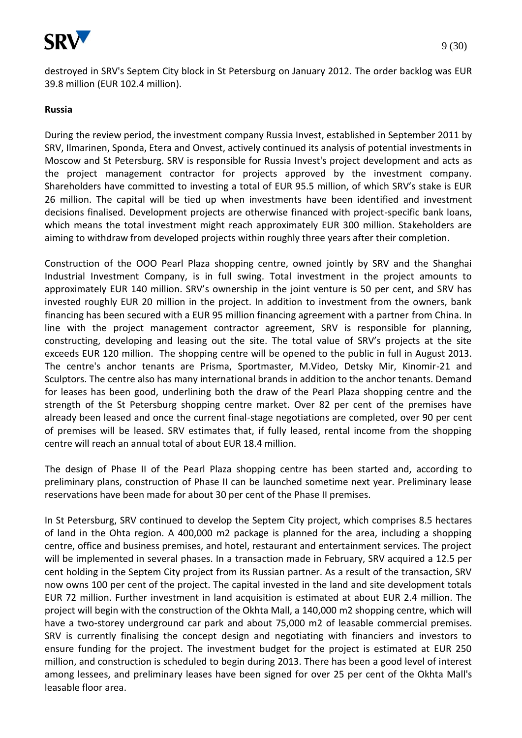

destroyed in SRV's Septem City block in St Petersburg on January 2012. The order backlog was EUR 39.8 million (EUR 102.4 million).

## **Russia**

During the review period, the investment company Russia Invest, established in September 2011 by SRV, Ilmarinen, Sponda, Etera and Onvest, actively continued its analysis of potential investments in Moscow and St Petersburg. SRV is responsible for Russia Invest's project development and acts as the project management contractor for projects approved by the investment company. Shareholders have committed to investing a total of EUR 95.5 million, of which SRV's stake is EUR 26 million. The capital will be tied up when investments have been identified and investment decisions finalised. Development projects are otherwise financed with project-specific bank loans, which means the total investment might reach approximately EUR 300 million. Stakeholders are aiming to withdraw from developed projects within roughly three years after their completion.

Construction of the OOO Pearl Plaza shopping centre, owned jointly by SRV and the Shanghai Industrial Investment Company, is in full swing. Total investment in the project amounts to approximately EUR 140 million. SRV's ownership in the joint venture is 50 per cent, and SRV has invested roughly EUR 20 million in the project. In addition to investment from the owners, bank financing has been secured with a EUR 95 million financing agreement with a partner from China. In line with the project management contractor agreement, SRV is responsible for planning, constructing, developing and leasing out the site. The total value of SRV's projects at the site exceeds EUR 120 million. The shopping centre will be opened to the public in full in August 2013. The centre's anchor tenants are Prisma, Sportmaster, M.Video, Detsky Mir, Kinomir-21 and Sculptors. The centre also has many international brands in addition to the anchor tenants. Demand for leases has been good, underlining both the draw of the Pearl Plaza shopping centre and the strength of the St Petersburg shopping centre market. Over 82 per cent of the premises have already been leased and once the current final-stage negotiations are completed, over 90 per cent of premises will be leased. SRV estimates that, if fully leased, rental income from the shopping centre will reach an annual total of about EUR 18.4 million.

The design of Phase II of the Pearl Plaza shopping centre has been started and, according to preliminary plans, construction of Phase II can be launched sometime next year. Preliminary lease reservations have been made for about 30 per cent of the Phase II premises.

In St Petersburg, SRV continued to develop the Septem City project, which comprises 8.5 hectares of land in the Ohta region. A 400,000 m2 package is planned for the area, including a shopping centre, office and business premises, and hotel, restaurant and entertainment services. The project will be implemented in several phases. In a transaction made in February, SRV acquired a 12.5 per cent holding in the Septem City project from its Russian partner. As a result of the transaction, SRV now owns 100 per cent of the project. The capital invested in the land and site development totals EUR 72 million. Further investment in land acquisition is estimated at about EUR 2.4 million. The project will begin with the construction of the Okhta Mall, a 140,000 m2 shopping centre, which will have a two-storey underground car park and about 75,000 m2 of leasable commercial premises. SRV is currently finalising the concept design and negotiating with financiers and investors to ensure funding for the project. The investment budget for the project is estimated at EUR 250 million, and construction is scheduled to begin during 2013. There has been a good level of interest among lessees, and preliminary leases have been signed for over 25 per cent of the Okhta Mall's leasable floor area.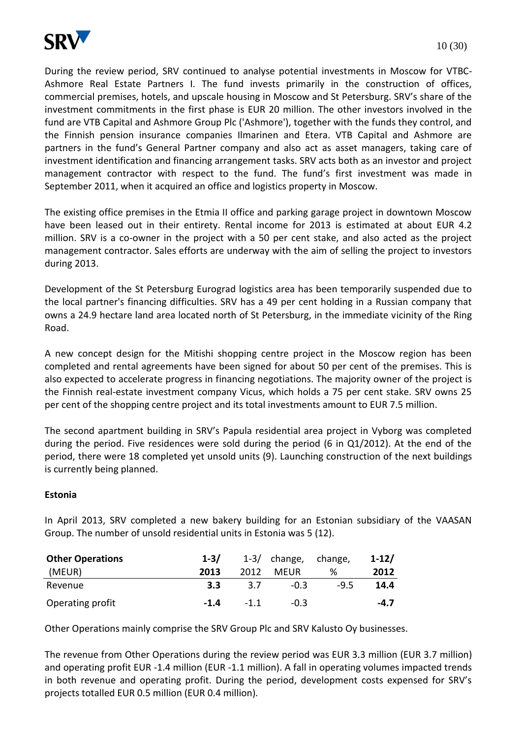

During the review period, SRV continued to analyse potential investments in Moscow for VTBC-Ashmore Real Estate Partners I. The fund invests primarily in the construction of offices, commercial premises, hotels, and upscale housing in Moscow and St Petersburg. SRV's share of the investment commitments in the first phase is EUR 20 million. The other investors involved in the fund are VTB Capital and Ashmore Group Plc ('Ashmore'), together with the funds they control, and the Finnish pension insurance companies Ilmarinen and Etera. VTB Capital and Ashmore are partners in the fund's General Partner company and also act as asset managers, taking care of investment identification and financing arrangement tasks. SRV acts both as an investor and project management contractor with respect to the fund. The fund's first investment was made in September 2011, when it acquired an office and logistics property in Moscow.

The existing office premises in the Etmia II office and parking garage project in downtown Moscow have been leased out in their entirety. Rental income for 2013 is estimated at about EUR 4.2 million. SRV is a co-owner in the project with a 50 per cent stake, and also acted as the project management contractor. Sales efforts are underway with the aim of selling the project to investors during 2013.

Development of the St Petersburg Eurograd logistics area has been temporarily suspended due to the local partner's financing difficulties. SRV has a 49 per cent holding in a Russian company that owns a 24.9 hectare land area located north of St Petersburg, in the immediate vicinity of the Ring Road.

A new concept design for the Mitishi shopping centre project in the Moscow region has been completed and rental agreements have been signed for about 50 per cent of the premises. This is also expected to accelerate progress in financing negotiations. The majority owner of the project is the Finnish real-estate investment company Vicus, which holds a 75 per cent stake. SRV owns 25 per cent of the shopping centre project and its total investments amount to EUR 7.5 million.

The second apartment building in SRV's Papula residential area project in Vyborg was completed during the period. Five residences were sold during the period (6 in Q1/2012). At the end of the period, there were 18 completed yet unsold units (9). Launching construction of the next buildings is currently being planned.

# **Estonia**

In April 2013, SRV completed a new bakery building for an Estonian subsidiary of the VAASAN Group. The number of unsold residential units in Estonia was 5 (12).

| <b>Other Operations</b> | $1 - 3/$ |        | $1-3/$ change, change, |        | $1 - 12/$ |
|-------------------------|----------|--------|------------------------|--------|-----------|
| (MEUR)                  | 2013     | 2012   | MFUR                   | %      | 2012      |
| Revenue                 | 3.3      | 3.7    | $-0.3$                 | $-9.5$ | 14.4      |
| Operating profit        | $-1.4$   | $-1.1$ | $-0.3$                 |        | $-4.7$    |

Other Operations mainly comprise the SRV Group Plc and SRV Kalusto Oy businesses.

The revenue from Other Operations during the review period was EUR 3.3 million (EUR 3.7 million) and operating profit EUR -1.4 million (EUR -1.1 million). A fall in operating volumes impacted trends in both revenue and operating profit. During the period, development costs expensed for SRV's projects totalled EUR 0.5 million (EUR 0.4 million).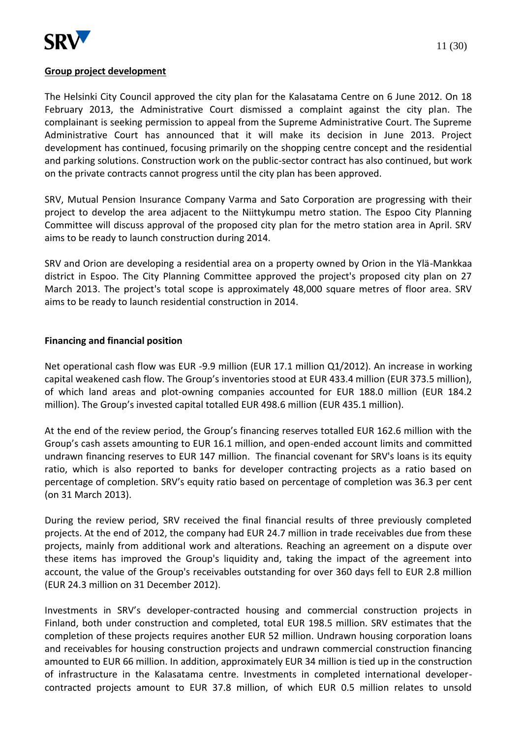

## **Group project development**

The Helsinki City Council approved the city plan for the Kalasatama Centre on 6 June 2012. On 18 February 2013, the Administrative Court dismissed a complaint against the city plan. The complainant is seeking permission to appeal from the Supreme Administrative Court. The Supreme Administrative Court has announced that it will make its decision in June 2013. Project development has continued, focusing primarily on the shopping centre concept and the residential and parking solutions. Construction work on the public-sector contract has also continued, but work on the private contracts cannot progress until the city plan has been approved.

SRV, Mutual Pension Insurance Company Varma and Sato Corporation are progressing with their project to develop the area adjacent to the Niittykumpu metro station. The Espoo City Planning Committee will discuss approval of the proposed city plan for the metro station area in April. SRV aims to be ready to launch construction during 2014.

SRV and Orion are developing a residential area on a property owned by Orion in the Ylä-Mankkaa district in Espoo. The City Planning Committee approved the project's proposed city plan on 27 March 2013. The project's total scope is approximately 48,000 square metres of floor area. SRV aims to be ready to launch residential construction in 2014.

## **Financing and financial position**

Net operational cash flow was EUR -9.9 million (EUR 17.1 million Q1/2012). An increase in working capital weakened cash flow. The Group's inventories stood at EUR 433.4 million (EUR 373.5 million), of which land areas and plot-owning companies accounted for EUR 188.0 million (EUR 184.2 million). The Group's invested capital totalled EUR 498.6 million (EUR 435.1 million).

At the end of the review period, the Group's financing reserves totalled EUR 162.6 million with the Group's cash assets amounting to EUR 16.1 million, and open-ended account limits and committed undrawn financing reserves to EUR 147 million. The financial covenant for SRV's loans is its equity ratio, which is also reported to banks for developer contracting projects as a ratio based on percentage of completion. SRV's equity ratio based on percentage of completion was 36.3 per cent (on 31 March 2013).

During the review period, SRV received the final financial results of three previously completed projects. At the end of 2012, the company had EUR 24.7 million in trade receivables due from these projects, mainly from additional work and alterations. Reaching an agreement on a dispute over these items has improved the Group's liquidity and, taking the impact of the agreement into account, the value of the Group's receivables outstanding for over 360 days fell to EUR 2.8 million (EUR 24.3 million on 31 December 2012).

Investments in SRV's developer-contracted housing and commercial construction projects in Finland, both under construction and completed, total EUR 198.5 million. SRV estimates that the completion of these projects requires another EUR 52 million. Undrawn housing corporation loans and receivables for housing construction projects and undrawn commercial construction financing amounted to EUR 66 million. In addition, approximately EUR 34 million is tied up in the construction of infrastructure in the Kalasatama centre. Investments in completed international developercontracted projects amount to EUR 37.8 million, of which EUR 0.5 million relates to unsold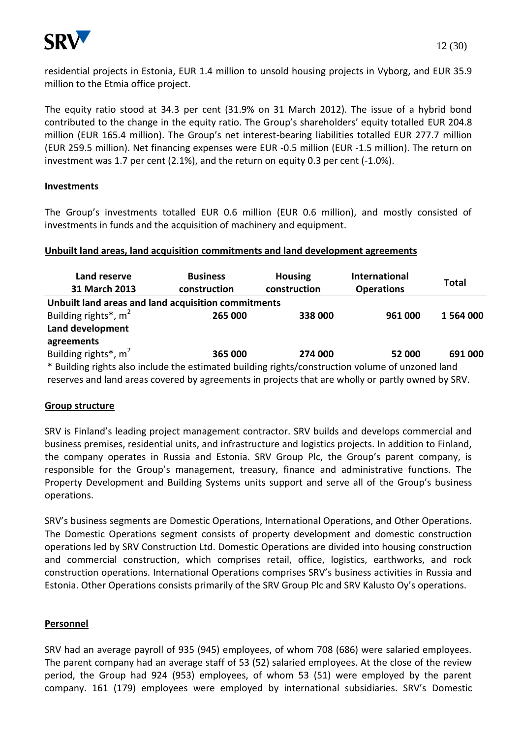

residential projects in Estonia, EUR 1.4 million to unsold housing projects in Vyborg, and EUR 35.9 million to the Etmia office project.

The equity ratio stood at 34.3 per cent (31.9% on 31 March 2012). The issue of a hybrid bond contributed to the change in the equity ratio. The Group's shareholders' equity totalled EUR 204.8 million (EUR 165.4 million). The Group's net interest-bearing liabilities totalled EUR 277.7 million (EUR 259.5 million). Net financing expenses were EUR -0.5 million (EUR -1.5 million). The return on investment was 1.7 per cent (2.1%), and the return on equity 0.3 per cent (-1.0%).

## **Investments**

The Group's investments totalled EUR 0.6 million (EUR 0.6 million), and mostly consisted of investments in funds and the acquisition of machinery and equipment.

## **Unbuilt land areas, land acquisition commitments and land development agreements**

| Land reserve<br>31 March 2013                                                                                 | <b>Business</b><br>construction | <b>Housing</b><br>construction | <b>International</b><br><b>Operations</b> | Total     |  |  |
|---------------------------------------------------------------------------------------------------------------|---------------------------------|--------------------------------|-------------------------------------------|-----------|--|--|
| Unbuilt land areas and land acquisition commitments                                                           |                                 |                                |                                           |           |  |  |
| Building rights <sup>*</sup> , m <sup>2</sup>                                                                 | 265 000                         | 338 000                        | 961 000                                   | 1 564 000 |  |  |
| Land development                                                                                              |                                 |                                |                                           |           |  |  |
| agreements                                                                                                    |                                 |                                |                                           |           |  |  |
| Building rights <sup>*</sup> , m <sup>2</sup>                                                                 | 365 000                         | 274 000                        | 52 000                                    | 691 000   |  |  |
| * Building rights also include the estimated building rights/construction volume of unzoned land              |                                 |                                |                                           |           |  |  |
| the contracted because the contracted and contracted the contracted and the contracted and contracted and the |                                 |                                |                                           |           |  |  |

reserves and land areas covered by agreements in projects that are wholly or partly owned by SRV.

# **Group structure**

SRV is Finland's leading project management contractor. SRV builds and develops commercial and business premises, residential units, and infrastructure and logistics projects. In addition to Finland, the company operates in Russia and Estonia. SRV Group Plc, the Group's parent company, is responsible for the Group's management, treasury, finance and administrative functions. The Property Development and Building Systems units support and serve all of the Group's business operations.

SRV's business segments are Domestic Operations, International Operations, and Other Operations. The Domestic Operations segment consists of property development and domestic construction operations led by SRV Construction Ltd. Domestic Operations are divided into housing construction and commercial construction, which comprises retail, office, logistics, earthworks, and rock construction operations. International Operations comprises SRV's business activities in Russia and Estonia. Other Operations consists primarily of the SRV Group Plc and SRV Kalusto Oy's operations.

# **Personnel**

SRV had an average payroll of 935 (945) employees, of whom 708 (686) were salaried employees. The parent company had an average staff of 53 (52) salaried employees. At the close of the review period, the Group had 924 (953) employees, of whom 53 (51) were employed by the parent company. 161 (179) employees were employed by international subsidiaries. SRV's Domestic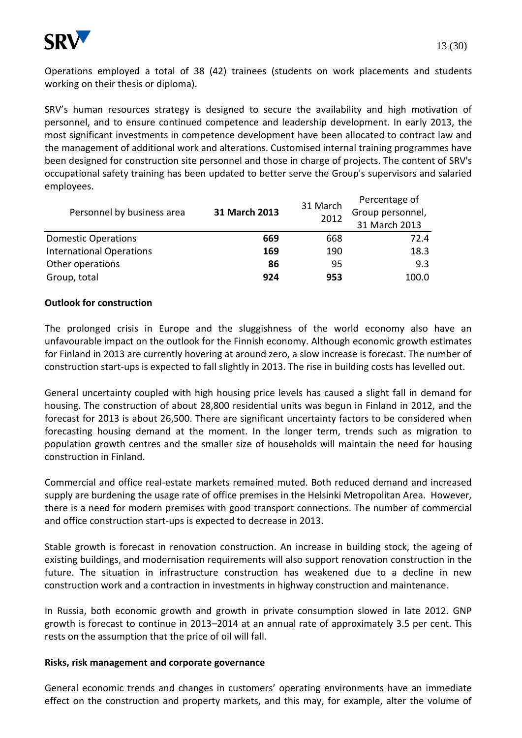

Operations employed a total of 38 (42) trainees (students on work placements and students working on their thesis or diploma).

SRV's human resources strategy is designed to secure the availability and high motivation of personnel, and to ensure continued competence and leadership development. In early 2013, the most significant investments in competence development have been allocated to contract law and the management of additional work and alterations. Customised internal training programmes have been designed for construction site personnel and those in charge of projects. The content of SRV's occupational safety training has been updated to better serve the Group's supervisors and salaried employees.

| Personnel by business area      |               | 31 March | Percentage of    |
|---------------------------------|---------------|----------|------------------|
|                                 | 31 March 2013 | 2012     | Group personnel, |
|                                 |               |          | 31 March 2013    |
| <b>Domestic Operations</b>      | 669           | 668      | 72.4             |
| <b>International Operations</b> | 169           | 190      | 18.3             |
| Other operations                | 86            | 95       | 9.3              |
| Group, total                    | 924           | 953      | 100.0            |

## **Outlook for construction**

The prolonged crisis in Europe and the sluggishness of the world economy also have an unfavourable impact on the outlook for the Finnish economy. Although economic growth estimates for Finland in 2013 are currently hovering at around zero, a slow increase is forecast. The number of construction start-ups is expected to fall slightly in 2013. The rise in building costs has levelled out.

General uncertainty coupled with high housing price levels has caused a slight fall in demand for housing. The construction of about 28,800 residential units was begun in Finland in 2012, and the forecast for 2013 is about 26,500. There are significant uncertainty factors to be considered when forecasting housing demand at the moment. In the longer term, trends such as migration to population growth centres and the smaller size of households will maintain the need for housing construction in Finland.

Commercial and office real-estate markets remained muted. Both reduced demand and increased supply are burdening the usage rate of office premises in the Helsinki Metropolitan Area. However, there is a need for modern premises with good transport connections. The number of commercial and office construction start-ups is expected to decrease in 2013.

Stable growth is forecast in renovation construction. An increase in building stock, the ageing of existing buildings, and modernisation requirements will also support renovation construction in the future. The situation in infrastructure construction has weakened due to a decline in new construction work and a contraction in investments in highway construction and maintenance.

In Russia, both economic growth and growth in private consumption slowed in late 2012. GNP growth is forecast to continue in 2013–2014 at an annual rate of approximately 3.5 per cent. This rests on the assumption that the price of oil will fall.

#### **Risks, risk management and corporate governance**

General economic trends and changes in customers' operating environments have an immediate effect on the construction and property markets, and this may, for example, alter the volume of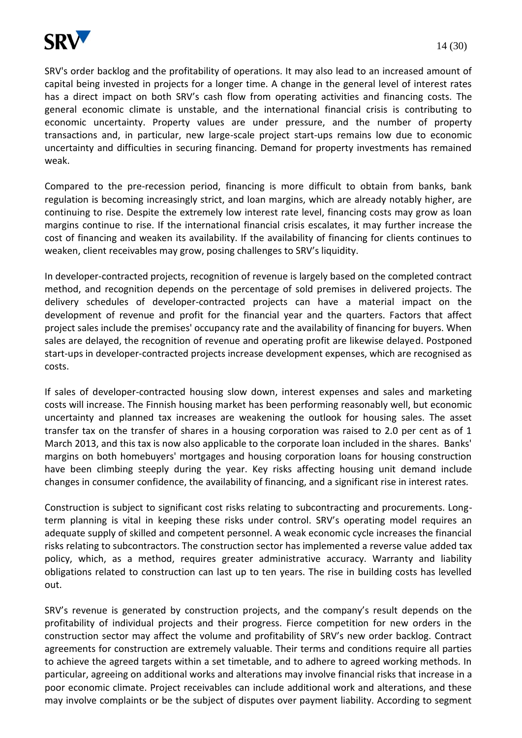

SRV's order backlog and the profitability of operations. It may also lead to an increased amount of capital being invested in projects for a longer time. A change in the general level of interest rates has a direct impact on both SRV's cash flow from operating activities and financing costs. The general economic climate is unstable, and the international financial crisis is contributing to economic uncertainty. Property values are under pressure, and the number of property transactions and, in particular, new large-scale project start-ups remains low due to economic uncertainty and difficulties in securing financing. Demand for property investments has remained weak.

Compared to the pre-recession period, financing is more difficult to obtain from banks, bank regulation is becoming increasingly strict, and loan margins, which are already notably higher, are continuing to rise. Despite the extremely low interest rate level, financing costs may grow as loan margins continue to rise. If the international financial crisis escalates, it may further increase the cost of financing and weaken its availability. If the availability of financing for clients continues to weaken, client receivables may grow, posing challenges to SRV's liquidity.

In developer-contracted projects, recognition of revenue is largely based on the completed contract method, and recognition depends on the percentage of sold premises in delivered projects. The delivery schedules of developer-contracted projects can have a material impact on the development of revenue and profit for the financial year and the quarters. Factors that affect project sales include the premises' occupancy rate and the availability of financing for buyers. When sales are delayed, the recognition of revenue and operating profit are likewise delayed. Postponed start-ups in developer-contracted projects increase development expenses, which are recognised as costs.

If sales of developer-contracted housing slow down, interest expenses and sales and marketing costs will increase. The Finnish housing market has been performing reasonably well, but economic uncertainty and planned tax increases are weakening the outlook for housing sales. The asset transfer tax on the transfer of shares in a housing corporation was raised to 2.0 per cent as of 1 March 2013, and this tax is now also applicable to the corporate loan included in the shares. Banks' margins on both homebuyers' mortgages and housing corporation loans for housing construction have been climbing steeply during the year. Key risks affecting housing unit demand include changes in consumer confidence, the availability of financing, and a significant rise in interest rates.

Construction is subject to significant cost risks relating to subcontracting and procurements. Longterm planning is vital in keeping these risks under control. SRV's operating model requires an adequate supply of skilled and competent personnel. A weak economic cycle increases the financial risks relating to subcontractors. The construction sector has implemented a reverse value added tax policy, which, as a method, requires greater administrative accuracy. Warranty and liability obligations related to construction can last up to ten years. The rise in building costs has levelled out.

SRV's revenue is generated by construction projects, and the company's result depends on the profitability of individual projects and their progress. Fierce competition for new orders in the construction sector may affect the volume and profitability of SRV's new order backlog. Contract agreements for construction are extremely valuable. Their terms and conditions require all parties to achieve the agreed targets within a set timetable, and to adhere to agreed working methods. In particular, agreeing on additional works and alterations may involve financial risks that increase in a poor economic climate. Project receivables can include additional work and alterations, and these may involve complaints or be the subject of disputes over payment liability. According to segment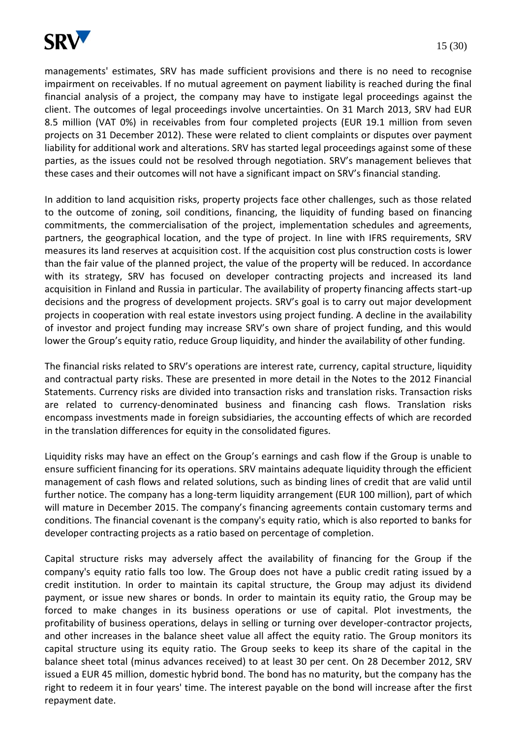

managements' estimates, SRV has made sufficient provisions and there is no need to recognise impairment on receivables. If no mutual agreement on payment liability is reached during the final financial analysis of a project, the company may have to instigate legal proceedings against the client. The outcomes of legal proceedings involve uncertainties. On 31 March 2013, SRV had EUR 8.5 million (VAT 0%) in receivables from four completed projects (EUR 19.1 million from seven projects on 31 December 2012). These were related to client complaints or disputes over payment liability for additional work and alterations. SRV has started legal proceedings against some of these parties, as the issues could not be resolved through negotiation. SRV's management believes that these cases and their outcomes will not have a significant impact on SRV's financial standing.

In addition to land acquisition risks, property projects face other challenges, such as those related to the outcome of zoning, soil conditions, financing, the liquidity of funding based on financing commitments, the commercialisation of the project, implementation schedules and agreements, partners, the geographical location, and the type of project. In line with IFRS requirements, SRV measures its land reserves at acquisition cost. If the acquisition cost plus construction costs is lower than the fair value of the planned project, the value of the property will be reduced. In accordance with its strategy, SRV has focused on developer contracting projects and increased its land acquisition in Finland and Russia in particular. The availability of property financing affects start-up decisions and the progress of development projects. SRV's goal is to carry out major development projects in cooperation with real estate investors using project funding. A decline in the availability of investor and project funding may increase SRV's own share of project funding, and this would lower the Group's equity ratio, reduce Group liquidity, and hinder the availability of other funding.

The financial risks related to SRV's operations are interest rate, currency, capital structure, liquidity and contractual party risks. These are presented in more detail in the Notes to the 2012 Financial Statements. Currency risks are divided into transaction risks and translation risks. Transaction risks are related to currency-denominated business and financing cash flows. Translation risks encompass investments made in foreign subsidiaries, the accounting effects of which are recorded in the translation differences for equity in the consolidated figures.

Liquidity risks may have an effect on the Group's earnings and cash flow if the Group is unable to ensure sufficient financing for its operations. SRV maintains adequate liquidity through the efficient management of cash flows and related solutions, such as binding lines of credit that are valid until further notice. The company has a long-term liquidity arrangement (EUR 100 million), part of which will mature in December 2015. The company's financing agreements contain customary terms and conditions. The financial covenant is the company's equity ratio, which is also reported to banks for developer contracting projects as a ratio based on percentage of completion.

Capital structure risks may adversely affect the availability of financing for the Group if the company's equity ratio falls too low. The Group does not have a public credit rating issued by a credit institution. In order to maintain its capital structure, the Group may adjust its dividend payment, or issue new shares or bonds. In order to maintain its equity ratio, the Group may be forced to make changes in its business operations or use of capital. Plot investments, the profitability of business operations, delays in selling or turning over developer-contractor projects, and other increases in the balance sheet value all affect the equity ratio. The Group monitors its capital structure using its equity ratio. The Group seeks to keep its share of the capital in the balance sheet total (minus advances received) to at least 30 per cent. On 28 December 2012, SRV issued a EUR 45 million, domestic hybrid bond. The bond has no maturity, but the company has the right to redeem it in four years' time. The interest payable on the bond will increase after the first repayment date.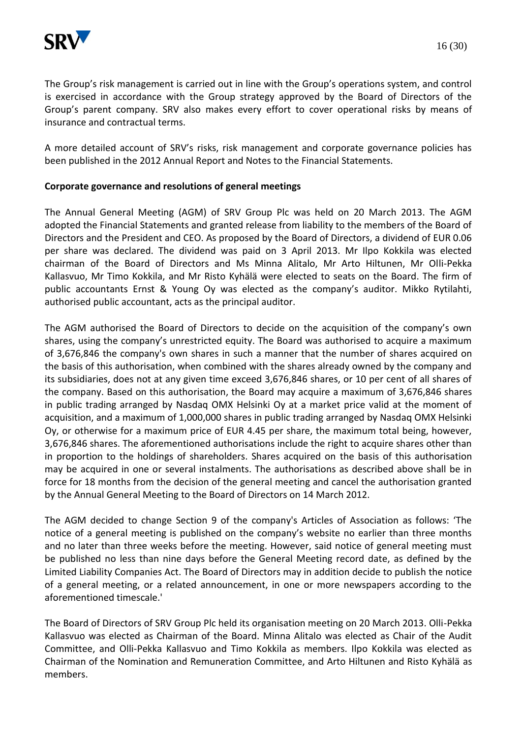

The Group's risk management is carried out in line with the Group's operations system, and control is exercised in accordance with the Group strategy approved by the Board of Directors of the Group's parent company. SRV also makes every effort to cover operational risks by means of insurance and contractual terms.

A more detailed account of SRV's risks, risk management and corporate governance policies has been published in the 2012 Annual Report and Notes to the Financial Statements.

## **Corporate governance and resolutions of general meetings**

The Annual General Meeting (AGM) of SRV Group Plc was held on 20 March 2013. The AGM adopted the Financial Statements and granted release from liability to the members of the Board of Directors and the President and CEO. As proposed by the Board of Directors, a dividend of EUR 0.06 per share was declared. The dividend was paid on 3 April 2013. Mr Ilpo Kokkila was elected chairman of the Board of Directors and Ms Minna Alitalo, Mr Arto Hiltunen, Mr Olli-Pekka Kallasvuo, Mr Timo Kokkila, and Mr Risto Kyhälä were elected to seats on the Board. The firm of public accountants Ernst & Young Oy was elected as the company's auditor. Mikko Rytilahti, authorised public accountant, acts as the principal auditor.

The AGM authorised the Board of Directors to decide on the acquisition of the company's own shares, using the company's unrestricted equity. The Board was authorised to acquire a maximum of 3,676,846 the company's own shares in such a manner that the number of shares acquired on the basis of this authorisation, when combined with the shares already owned by the company and its subsidiaries, does not at any given time exceed 3,676,846 shares, or 10 per cent of all shares of the company. Based on this authorisation, the Board may acquire a maximum of 3,676,846 shares in public trading arranged by Nasdaq OMX Helsinki Oy at a market price valid at the moment of acquisition, and a maximum of 1,000,000 shares in public trading arranged by Nasdaq OMX Helsinki Oy, or otherwise for a maximum price of EUR 4.45 per share, the maximum total being, however, 3,676,846 shares. The aforementioned authorisations include the right to acquire shares other than in proportion to the holdings of shareholders. Shares acquired on the basis of this authorisation may be acquired in one or several instalments. The authorisations as described above shall be in force for 18 months from the decision of the general meeting and cancel the authorisation granted by the Annual General Meeting to the Board of Directors on 14 March 2012.

The AGM decided to change Section 9 of the company's Articles of Association as follows: 'The notice of a general meeting is published on the company's website no earlier than three months and no later than three weeks before the meeting. However, said notice of general meeting must be published no less than nine days before the General Meeting record date, as defined by the Limited Liability Companies Act. The Board of Directors may in addition decide to publish the notice of a general meeting, or a related announcement, in one or more newspapers according to the aforementioned timescale.'

The Board of Directors of SRV Group Plc held its organisation meeting on 20 March 2013. Olli-Pekka Kallasvuo was elected as Chairman of the Board. Minna Alitalo was elected as Chair of the Audit Committee, and Olli-Pekka Kallasvuo and Timo Kokkila as members. Ilpo Kokkila was elected as Chairman of the Nomination and Remuneration Committee, and Arto Hiltunen and Risto Kyhälä as members.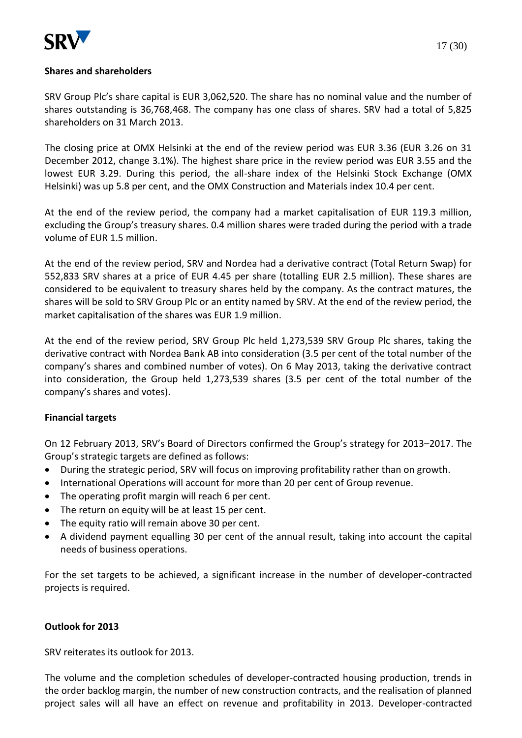

SRV Group Plc's share capital is EUR 3,062,520. The share has no nominal value and the number of shares outstanding is 36,768,468. The company has one class of shares. SRV had a total of 5,825 shareholders on 31 March 2013.

The closing price at OMX Helsinki at the end of the review period was EUR 3.36 (EUR 3.26 on 31 December 2012, change 3.1%). The highest share price in the review period was EUR 3.55 and the lowest EUR 3.29. During this period, the all-share index of the Helsinki Stock Exchange (OMX Helsinki) was up 5.8 per cent, and the OMX Construction and Materials index 10.4 per cent.

At the end of the review period, the company had a market capitalisation of EUR 119.3 million, excluding the Group's treasury shares. 0.4 million shares were traded during the period with a trade volume of EUR 1.5 million.

At the end of the review period, SRV and Nordea had a derivative contract (Total Return Swap) for 552,833 SRV shares at a price of EUR 4.45 per share (totalling EUR 2.5 million). These shares are considered to be equivalent to treasury shares held by the company. As the contract matures, the shares will be sold to SRV Group Plc or an entity named by SRV. At the end of the review period, the market capitalisation of the shares was EUR 1.9 million.

At the end of the review period, SRV Group Plc held 1,273,539 SRV Group Plc shares, taking the derivative contract with Nordea Bank AB into consideration (3.5 per cent of the total number of the company's shares and combined number of votes). On 6 May 2013, taking the derivative contract into consideration, the Group held 1,273,539 shares (3.5 per cent of the total number of the company's shares and votes).

# **Financial targets**

On 12 February 2013, SRV's Board of Directors confirmed the Group's strategy for 2013–2017. The Group's strategic targets are defined as follows:

- During the strategic period, SRV will focus on improving profitability rather than on growth.
- International Operations will account for more than 20 per cent of Group revenue.
- The operating profit margin will reach 6 per cent.
- The return on equity will be at least 15 per cent.
- The equity ratio will remain above 30 per cent.
- A dividend payment equalling 30 per cent of the annual result, taking into account the capital needs of business operations.

For the set targets to be achieved, a significant increase in the number of developer-contracted projects is required.

## **Outlook for 2013**

SRV reiterates its outlook for 2013.

The volume and the completion schedules of developer-contracted housing production, trends in the order backlog margin, the number of new construction contracts, and the realisation of planned project sales will all have an effect on revenue and profitability in 2013. Developer-contracted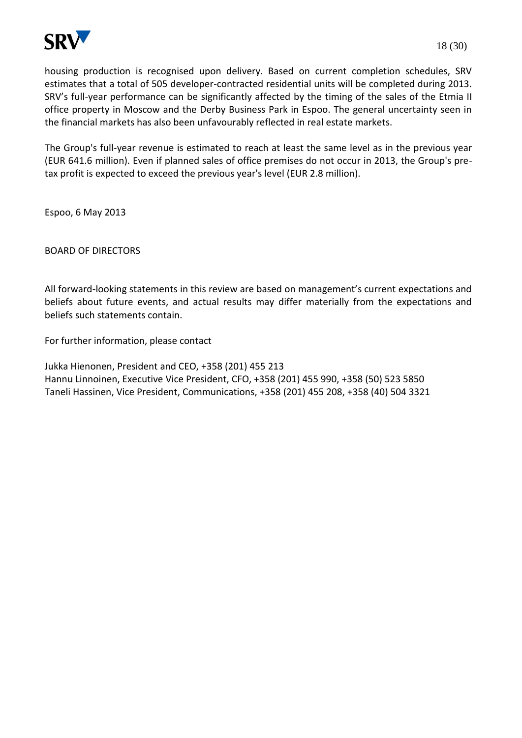

housing production is recognised upon delivery. Based on current completion schedules, SRV estimates that a total of 505 developer-contracted residential units will be completed during 2013. SRV's full-year performance can be significantly affected by the timing of the sales of the Etmia II office property in Moscow and the Derby Business Park in Espoo. The general uncertainty seen in the financial markets has also been unfavourably reflected in real estate markets.

The Group's full-year revenue is estimated to reach at least the same level as in the previous year (EUR 641.6 million). Even if planned sales of office premises do not occur in 2013, the Group's pretax profit is expected to exceed the previous year's level (EUR 2.8 million).

Espoo, 6 May 2013

BOARD OF DIRECTORS

All forward-looking statements in this review are based on management's current expectations and beliefs about future events, and actual results may differ materially from the expectations and beliefs such statements contain.

For further information, please contact

Jukka Hienonen, President and CEO, +358 (201) 455 213 Hannu Linnoinen, Executive Vice President, CFO, +358 (201) 455 990, +358 (50) 523 5850 Taneli Hassinen, Vice President, Communications, +358 (201) 455 208, +358 (40) 504 3321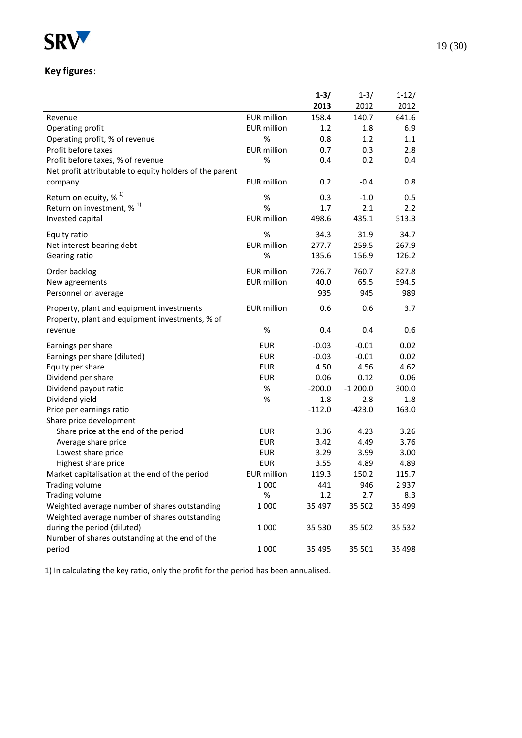

# **Key figures**:

|                                                         |                    | $1 - 3/$ | $1 - 3/$  | $1 - 12/$     |
|---------------------------------------------------------|--------------------|----------|-----------|---------------|
|                                                         |                    | 2013     | 2012      | 2012          |
| Revenue                                                 | <b>EUR</b> million | 158.4    | 140.7     | 641.6         |
| Operating profit                                        | <b>EUR</b> million | 1.2      | 1.8       | 6.9           |
| Operating profit, % of revenue                          | $\%$               | 0.8      | 1.2       | 1.1           |
| Profit before taxes                                     | <b>EUR</b> million | 0.7      | 0.3       | 2.8           |
| Profit before taxes, % of revenue                       | %                  | 0.4      | 0.2       | 0.4           |
| Net profit attributable to equity holders of the parent |                    |          |           |               |
| company                                                 | <b>EUR</b> million | 0.2      | $-0.4$    | 0.8           |
| Return on equity, $% ^{1}$                              | %                  | 0.3      | $-1.0$    | 0.5           |
| Return on investment, $\frac{1}{2}$ <sup>1)</sup>       | %                  | 1.7      | 2.1       | $2.2^{\circ}$ |
| Invested capital                                        | <b>EUR</b> million | 498.6    | 435.1     | 513.3         |
|                                                         |                    |          |           |               |
| Equity ratio                                            | %                  | 34.3     | 31.9      | 34.7          |
| Net interest-bearing debt                               | <b>EUR</b> million | 277.7    | 259.5     | 267.9         |
| Gearing ratio                                           | %                  | 135.6    | 156.9     | 126.2         |
| Order backlog                                           | <b>EUR</b> million | 726.7    | 760.7     | 827.8         |
| New agreements                                          | <b>EUR</b> million | 40.0     | 65.5      | 594.5         |
| Personnel on average                                    |                    | 935      | 945       | 989           |
| Property, plant and equipment investments               | <b>EUR</b> million | 0.6      | 0.6       | 3.7           |
| Property, plant and equipment investments, % of         |                    |          |           |               |
| revenue                                                 | %                  | 0.4      | 0.4       | 0.6           |
| Earnings per share                                      | <b>EUR</b>         | $-0.03$  | $-0.01$   | 0.02          |
| Earnings per share (diluted)                            | <b>EUR</b>         | $-0.03$  | $-0.01$   | 0.02          |
| Equity per share                                        | <b>EUR</b>         | 4.50     | 4.56      | 4.62          |
| Dividend per share                                      | <b>EUR</b>         | 0.06     | 0.12      | 0.06          |
| Dividend payout ratio                                   | %                  | $-200.0$ | $-1200.0$ | 300.0         |
| Dividend yield                                          | %                  | 1.8      | 2.8       | 1.8           |
| Price per earnings ratio                                |                    | $-112.0$ | $-423.0$  | 163.0         |
| Share price development                                 |                    |          |           |               |
| Share price at the end of the period                    | <b>EUR</b>         | 3.36     | 4.23      | 3.26          |
| Average share price                                     | <b>EUR</b>         | 3.42     | 4.49      | 3.76          |
| Lowest share price                                      | <b>EUR</b>         | 3.29     | 3.99      | 3.00          |
| Highest share price                                     | <b>EUR</b>         | 3.55     | 4.89      | 4.89          |
| Market capitalisation at the end of the period          | <b>EUR</b> million | 119.3    | 150.2     | 115.7         |
| Trading volume                                          | 1 0 0 0            | 441      | 946       | 2937          |
| Trading volume                                          | %                  | 1.2      | 2.7       | 8.3           |
| Weighted average number of shares outstanding           | 1 0 0 0            | 35 497   | 35 502    | 35 4 99       |
| Weighted average number of shares outstanding           |                    |          |           |               |
| during the period (diluted)                             | 1 0 0 0            | 35 530   | 35 502    | 35 5 32       |
| Number of shares outstanding at the end of the          |                    |          |           |               |
| period                                                  | 1 0 0 0            | 35 4 95  | 35 501    | 35 4 98       |

1) In calculating the key ratio, only the profit for the period has been annualised.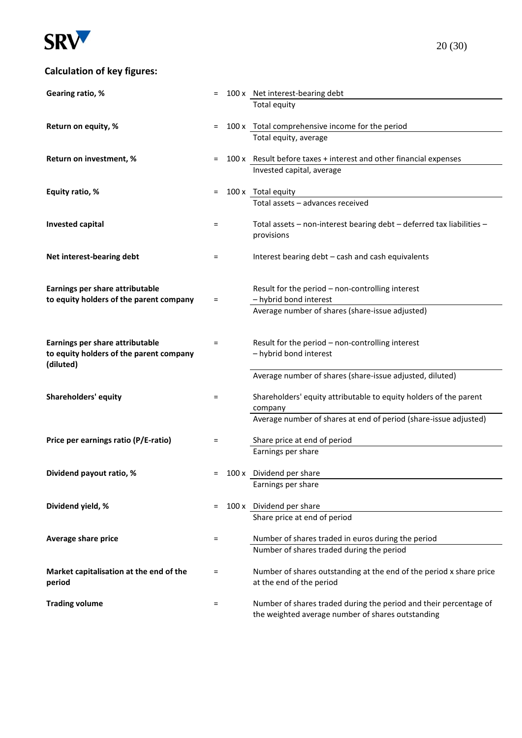

# **Calculation of key figures:**

| Gearing ratio, %                                     | Ξ   | 100 x Net interest-bearing debt                                                                 |
|------------------------------------------------------|-----|-------------------------------------------------------------------------------------------------|
|                                                      |     | <b>Total equity</b>                                                                             |
|                                                      |     |                                                                                                 |
| Return on equity, %                                  | $=$ | 100 x Total comprehensive income for the period<br>Total equity, average                        |
|                                                      |     |                                                                                                 |
| Return on investment, %                              | Ξ   | 100 x Result before taxes + interest and other financial expenses                               |
|                                                      |     | Invested capital, average                                                                       |
| Equity ratio, %                                      | $=$ | 100 x Total equity                                                                              |
|                                                      |     | Total assets - advances received                                                                |
|                                                      |     |                                                                                                 |
| <b>Invested capital</b>                              | =   | Total assets - non-interest bearing debt - deferred tax liabilities -                           |
|                                                      |     | provisions                                                                                      |
| Net interest-bearing debt                            | $=$ | Interest bearing debt - cash and cash equivalents                                               |
|                                                      |     |                                                                                                 |
|                                                      |     |                                                                                                 |
| Earnings per share attributable                      |     | Result for the period - non-controlling interest                                                |
| to equity holders of the parent company              | $=$ | - hybrid bond interest<br>Average number of shares (share-issue adjusted)                       |
|                                                      |     |                                                                                                 |
|                                                      |     |                                                                                                 |
| Earnings per share attributable                      | Ξ   | Result for the period - non-controlling interest                                                |
| to equity holders of the parent company<br>(diluted) |     | - hybrid bond interest                                                                          |
|                                                      |     | Average number of shares (share-issue adjusted, diluted)                                        |
|                                                      |     |                                                                                                 |
| <b>Shareholders' equity</b>                          | $=$ | Shareholders' equity attributable to equity holders of the parent                               |
|                                                      |     | company<br>Average number of shares at end of period (share-issue adjusted)                     |
|                                                      |     |                                                                                                 |
| Price per earnings ratio (P/E-ratio)                 | $=$ | Share price at end of period                                                                    |
|                                                      |     | Earnings per share                                                                              |
| Dividend payout ratio, %                             |     | 100 x Dividend per share                                                                        |
|                                                      |     | Earnings per share                                                                              |
|                                                      |     |                                                                                                 |
| Dividend yield, %                                    | Ξ   | 100 x Dividend per share                                                                        |
|                                                      |     | Share price at end of period                                                                    |
| Average share price                                  | $=$ | Number of shares traded in euros during the period                                              |
|                                                      |     | Number of shares traded during the period                                                       |
|                                                      |     |                                                                                                 |
| Market capitalisation at the end of the              | Ξ   | Number of shares outstanding at the end of the period x share price<br>at the end of the period |
| period                                               |     |                                                                                                 |
| <b>Trading volume</b>                                | Ξ   | Number of shares traded during the period and their percentage of                               |
|                                                      |     | the weighted average number of shares outstanding                                               |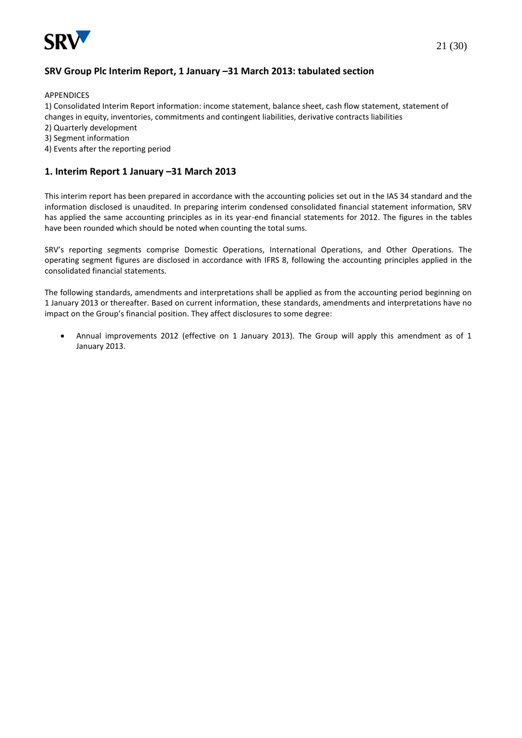

APPENDICES

1) Consolidated Interim Report information: income statement, balance sheet, cash flow statement, statement of changes in equity, inventories, commitments and contingent liabilities, derivative contracts liabilities

- 2) Quarterly development
- 3) Segment information
- 4) Events after the reporting period

## **1. Interim Report 1 January –31 March 2013**

This interim report has been prepared in accordance with the accounting policies set out in the IAS 34 standard and the information disclosed is unaudited. In preparing interim condensed consolidated financial statement information, SRV has applied the same accounting principles as in its year-end financial statements for 2012. The figures in the tables have been rounded which should be noted when counting the total sums.

SRV's reporting segments comprise Domestic Operations, International Operations, and Other Operations. The operating segment figures are disclosed in accordance with IFRS 8, following the accounting principles applied in the consolidated financial statements.

The following standards, amendments and interpretations shall be applied as from the accounting period beginning on 1 January 2013 or thereafter. Based on current information, these standards, amendments and interpretations have no impact on the Group's financial position. They affect disclosures to some degree:

 Annual improvements 2012 (effective on 1 January 2013). The Group will apply this amendment as of 1 January 2013.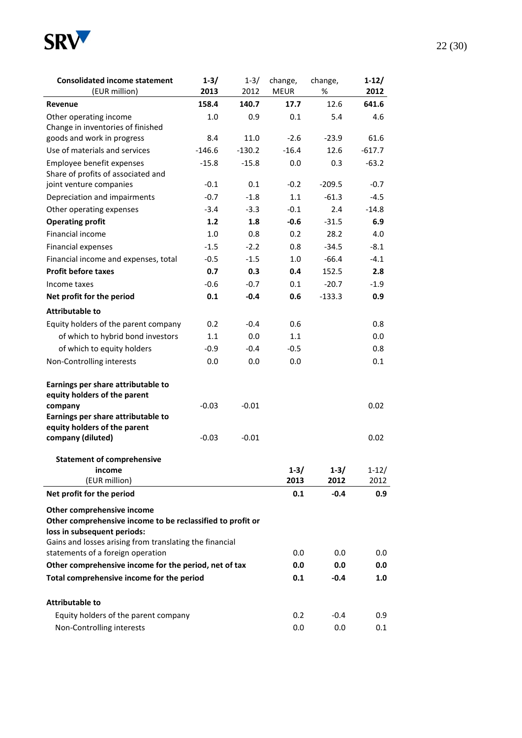

| <b>Consolidated income statement</b><br>(EUR million)                                                                   | $1 - 3/$<br>2013 | $1 - 3/$<br>2012 | change,<br><b>MEUR</b> | change,<br>%        | $1-12/$<br>2012 |
|-------------------------------------------------------------------------------------------------------------------------|------------------|------------------|------------------------|---------------------|-----------------|
| <b>Revenue</b>                                                                                                          | 158.4            | 140.7            | 17.7                   | 12.6                | 641.6           |
| Other operating income                                                                                                  | 1.0              | 0.9              | 0.1                    | 5.4                 | 4.6             |
| Change in inventories of finished                                                                                       |                  |                  |                        |                     |                 |
| goods and work in progress                                                                                              | 8.4              | 11.0             | $-2.6$                 | $-23.9$             | 61.6            |
| Use of materials and services                                                                                           | $-146.6$         | $-130.2$         | $-16.4$                | 12.6                | $-617.7$        |
| Employee benefit expenses                                                                                               | $-15.8$          | $-15.8$          | 0.0                    | 0.3                 | $-63.2$         |
| Share of profits of associated and                                                                                      |                  |                  |                        |                     |                 |
| joint venture companies                                                                                                 | $-0.1$           | 0.1              | $-0.2$                 | $-209.5$<br>$-61.3$ | $-0.7$          |
| Depreciation and impairments                                                                                            | $-0.7$           | $-1.8$           | 1.1                    |                     | $-4.5$          |
| Other operating expenses                                                                                                | $-3.4$           | $-3.3$           | $-0.1$                 | 2.4                 | $-14.8$         |
| <b>Operating profit</b>                                                                                                 | $1.2$            | 1.8              | $-0.6$                 | $-31.5$             | 6.9             |
| Financial income                                                                                                        | 1.0              | 0.8              | 0.2                    | 28.2                | 4.0             |
| Financial expenses                                                                                                      | $-1.5$           | $-2.2$           | 0.8                    | $-34.5$             | $-8.1$          |
| Financial income and expenses, total                                                                                    | $-0.5$           | $-1.5$           | 1.0                    | $-66.4$             | $-4.1$          |
| <b>Profit before taxes</b>                                                                                              | 0.7              | 0.3              | 0.4                    | 152.5               | 2.8             |
| Income taxes                                                                                                            | $-0.6$           | $-0.7$           | 0.1                    | $-20.7$             | $-1.9$          |
| Net profit for the period                                                                                               | 0.1              | $-0.4$           | 0.6                    | $-133.3$            | 0.9             |
| <b>Attributable to</b>                                                                                                  |                  |                  |                        |                     |                 |
| Equity holders of the parent company                                                                                    | 0.2              | $-0.4$           | 0.6                    |                     | 0.8             |
| of which to hybrid bond investors                                                                                       | 1.1              | 0.0              | 1.1                    |                     | 0.0             |
| of which to equity holders                                                                                              | $-0.9$           | $-0.4$           | $-0.5$                 |                     | 0.8             |
| Non-Controlling interests                                                                                               | 0.0              | 0.0              | 0.0                    |                     | 0.1             |
| Earnings per share attributable to<br>equity holders of the parent                                                      |                  |                  |                        |                     |                 |
| company                                                                                                                 | $-0.03$          | $-0.01$          |                        |                     | 0.02            |
| Earnings per share attributable to                                                                                      |                  |                  |                        |                     |                 |
| equity holders of the parent                                                                                            |                  | $-0.01$          |                        |                     |                 |
| company (diluted)                                                                                                       | $-0.03$          |                  |                        |                     | 0.02            |
| <b>Statement of comprehensive</b>                                                                                       |                  |                  |                        |                     |                 |
| income                                                                                                                  |                  |                  | $1 - 3/$               | $1 - 3/$            | $1 - 12/$       |
| (EUR million)                                                                                                           |                  |                  | 2013                   | 2012                | 2012            |
| Net profit for the period                                                                                               |                  |                  | 0.1                    | $-0.4$              | 0.9             |
| Other comprehensive income<br>Other comprehensive income to be reclassified to profit or<br>loss in subsequent periods: |                  |                  |                        |                     |                 |
| Gains and losses arising from translating the financial<br>statements of a foreign operation                            |                  |                  | 0.0                    | 0.0                 | 0.0             |
| Other comprehensive income for the period, net of tax                                                                   |                  |                  |                        | 0.0                 | 0.0             |
| Total comprehensive income for the period                                                                               |                  |                  | 0.0<br>0.1             | $-0.4$              | 1.0             |
|                                                                                                                         |                  |                  |                        |                     |                 |
| <b>Attributable to</b>                                                                                                  |                  |                  |                        |                     |                 |
| Equity holders of the parent company                                                                                    |                  |                  | 0.2                    | $-0.4$              | 0.9             |
| Non-Controlling interests                                                                                               |                  |                  | 0.0                    | 0.0                 | 0.1             |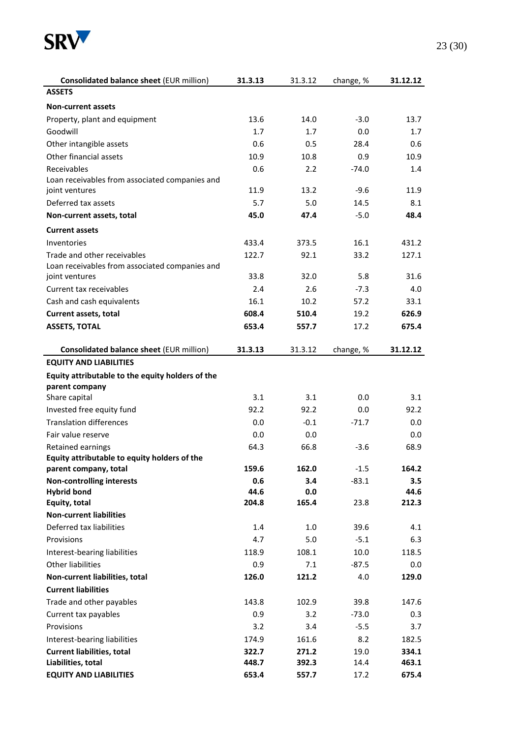

| <b>Consolidated balance sheet (EUR million)</b>  | 31.3.13 | 31.3.12 | change, % | 31.12.12 |
|--------------------------------------------------|---------|---------|-----------|----------|
| <b>ASSETS</b>                                    |         |         |           |          |
| <b>Non-current assets</b>                        |         |         |           |          |
| Property, plant and equipment                    | 13.6    | 14.0    | $-3.0$    | 13.7     |
| Goodwill                                         | 1.7     | 1.7     | 0.0       | 1.7      |
| Other intangible assets                          | 0.6     | 0.5     | 28.4      | 0.6      |
| Other financial assets                           | 10.9    | 10.8    | 0.9       | 10.9     |
| Receivables                                      | 0.6     | 2.2     | $-74.0$   | 1.4      |
| Loan receivables from associated companies and   |         |         |           |          |
| joint ventures                                   | 11.9    | 13.2    | $-9.6$    | 11.9     |
| Deferred tax assets                              | 5.7     | 5.0     | 14.5      | 8.1      |
| Non-current assets, total                        | 45.0    | 47.4    | $-5.0$    | 48.4     |
| <b>Current assets</b>                            |         |         |           |          |
| Inventories                                      | 433.4   | 373.5   | 16.1      | 431.2    |
| Trade and other receivables                      | 122.7   | 92.1    | 33.2      | 127.1    |
| Loan receivables from associated companies and   |         |         |           |          |
| joint ventures                                   | 33.8    | 32.0    | 5.8       | 31.6     |
| Current tax receivables                          | 2.4     | 2.6     | $-7.3$    | 4.0      |
| Cash and cash equivalents                        | 16.1    | 10.2    | 57.2      | 33.1     |
| Current assets, total                            | 608.4   | 510.4   | 19.2      | 626.9    |
| <b>ASSETS, TOTAL</b>                             | 653.4   | 557.7   | 17.2      | 675.4    |
| <b>Consolidated balance sheet (EUR million)</b>  | 31.3.13 | 31.3.12 | change, % | 31.12.12 |
| <b>EQUITY AND LIABILITIES</b>                    |         |         |           |          |
| Equity attributable to the equity holders of the |         |         |           |          |
| parent company                                   |         |         |           |          |
| Share capital                                    | 3.1     | 3.1     | 0.0       | 3.1      |
| Invested free equity fund                        | 92.2    | 92.2    | 0.0       | 92.2     |
| <b>Translation differences</b>                   | 0.0     | $-0.1$  | $-71.7$   | 0.0      |
| Fair value reserve                               | 0.0     | 0.0     |           | 0.0      |
| Retained earnings                                | 64.3    | 66.8    | $-3.6$    | 68.9     |
| Equity attributable to equity holders of the     |         |         |           |          |
| parent company, total                            | 159.6   | 162.0   | -1.5      | 164.2    |
| <b>Non-controlling interests</b>                 | 0.6     | 3.4     | $-83.1$   | 3.5      |
| <b>Hybrid bond</b>                               | 44.6    | 0.0     |           | 44.6     |
| Equity, total                                    | 204.8   | 165.4   | 23.8      | 212.3    |
| <b>Non-current liabilities</b>                   |         |         |           |          |
| Deferred tax liabilities                         | 1.4     | 1.0     | 39.6      | 4.1      |
| Provisions                                       | 4.7     | 5.0     | $-5.1$    | 6.3      |
| Interest-bearing liabilities                     | 118.9   | 108.1   | 10.0      | 118.5    |
| <b>Other liabilities</b>                         | 0.9     | 7.1     | $-87.5$   | 0.0      |
| Non-current liabilities, total                   | 126.0   | 121.2   | 4.0       | 129.0    |
| <b>Current liabilities</b>                       |         |         |           |          |
| Trade and other payables                         | 143.8   | 102.9   | 39.8      | 147.6    |
| Current tax payables                             | 0.9     | 3.2     | $-73.0$   | 0.3      |
| Provisions                                       | 3.2     | 3.4     | $-5.5$    | 3.7      |
| Interest-bearing liabilities                     | 174.9   | 161.6   | 8.2       | 182.5    |
| <b>Current liabilities, total</b>                | 322.7   | 271.2   | 19.0      | 334.1    |
| Liabilities, total                               | 448.7   | 392.3   | 14.4      | 463.1    |
| <b>EQUITY AND LIABILITIES</b>                    | 653.4   | 557.7   | 17.2      | 675.4    |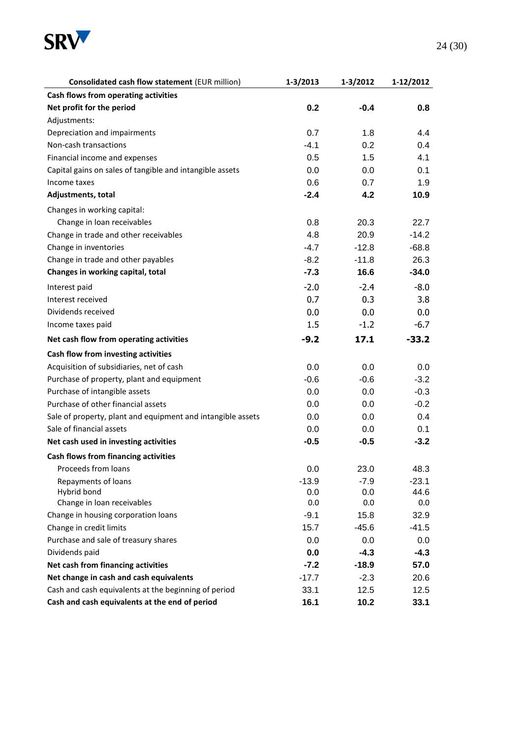

| <b>Consolidated cash flow statement (EUR million)</b>       | 1-3/2013 | 1-3/2012 | 1-12/2012 |
|-------------------------------------------------------------|----------|----------|-----------|
| Cash flows from operating activities                        |          |          |           |
| Net profit for the period                                   | 0.2      | $-0.4$   | 0.8       |
| Adjustments:                                                |          |          |           |
| Depreciation and impairments                                | 0.7      | 1.8      | 4.4       |
| Non-cash transactions                                       | $-4.1$   | 0.2      | 0.4       |
| Financial income and expenses                               | 0.5      | 1.5      | 4.1       |
| Capital gains on sales of tangible and intangible assets    | 0.0      | 0.0      | 0.1       |
| Income taxes                                                | 0.6      | 0.7      | 1.9       |
| Adjustments, total                                          | $-2.4$   | 4.2      | 10.9      |
| Changes in working capital:                                 |          |          |           |
| Change in loan receivables                                  | 0.8      | 20.3     | 22.7      |
| Change in trade and other receivables                       | 4.8      | 20.9     | $-14.2$   |
| Change in inventories                                       | $-4.7$   | $-12.8$  | $-68.8$   |
| Change in trade and other payables                          | $-8.2$   | $-11.8$  | 26.3      |
| Changes in working capital, total                           | $-7.3$   | 16.6     | $-34.0$   |
| Interest paid                                               | $-2.0$   | $-2.4$   | $-8.0$    |
| Interest received                                           | 0.7      | 0.3      | 3.8       |
| Dividends received                                          | 0.0      | 0.0      | 0.0       |
| Income taxes paid                                           | 1.5      | $-1.2$   | $-6.7$    |
| Net cash flow from operating activities                     | $-9.2$   | 17.1     | $-33.2$   |
| Cash flow from investing activities                         |          |          |           |
| Acquisition of subsidiaries, net of cash                    | 0.0      | 0.0      | 0.0       |
| Purchase of property, plant and equipment                   | $-0.6$   | $-0.6$   | $-3.2$    |
| Purchase of intangible assets                               | 0.0      | 0.0      | $-0.3$    |
| Purchase of other financial assets                          | 0.0      | 0.0      | $-0.2$    |
| Sale of property, plant and equipment and intangible assets | 0.0      | 0.0      | 0.4       |
| Sale of financial assets                                    | 0.0      | 0.0      | 0.1       |
| Net cash used in investing activities                       | $-0.5$   | $-0.5$   | $-3.2$    |
| Cash flows from financing activities                        |          |          |           |
| Proceeds from loans                                         | 0.0      | 23.0     | 48.3      |
| Repayments of loans                                         | $-13.9$  | $-7.9$   | $-23.1$   |
| Hybrid bond                                                 | 0.0      | 0.0      | 44.6      |
| Change in loan receivables                                  | 0.0      | 0.0      | 0.0       |
| Change in housing corporation loans                         | $-9.1$   | 15.8     | 32.9      |
| Change in credit limits                                     | 15.7     | $-45.6$  | $-41.5$   |
| Purchase and sale of treasury shares                        | 0.0      | 0.0      | 0.0       |
| Dividends paid                                              | 0.0      | $-4.3$   | $-4.3$    |
| Net cash from financing activities                          | $-7.2$   | $-18.9$  | 57.0      |
| Net change in cash and cash equivalents                     | $-17.7$  | $-2.3$   | 20.6      |
| Cash and cash equivalents at the beginning of period        | 33.1     | 12.5     | 12.5      |
| Cash and cash equivalents at the end of period              | 16.1     | 10.2     | 33.1      |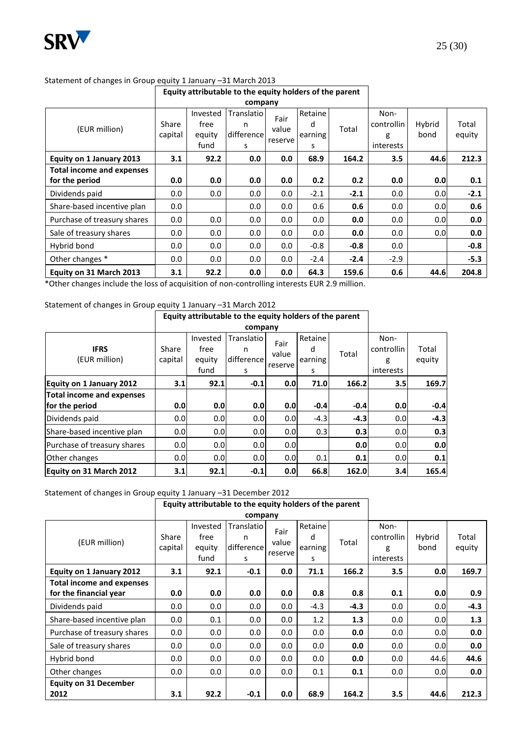

| Equity attributable to the equity holders of the parent |         |          |            |         |         |        |            |        |        |
|---------------------------------------------------------|---------|----------|------------|---------|---------|--------|------------|--------|--------|
| company                                                 |         |          |            |         |         |        |            |        |        |
|                                                         |         | Invested | Translatio | Fair    | Retaine |        | Non-       |        |        |
| (EUR million)                                           | Share   | free     | n          | value   | d       | Total  | controllin | Hybrid | Total  |
|                                                         | capital | equity   | difference | reserve | earning |        | g          | bond   | equity |
|                                                         |         | fund     | s          |         | s       |        | interests  |        |        |
| Equity on 1 January 2013                                | 3.1     | 92.2     | 0.0        | 0.0     | 68.9    | 164.2  | 3.5        | 44.6   | 212.3  |
| <b>Total income and expenses</b>                        |         |          |            |         |         |        |            |        |        |
| for the period                                          | 0.0     | 0.0      | 0.0        | 0.0     | 0.2     | 0.2    | 0.0        | 0.0    | 0.1    |
| Dividends paid                                          | 0.0     | 0.0      | 0.0        | 0.0     | $-2.1$  | $-2.1$ | 0.0        | 0.0    | $-2.1$ |
| Share-based incentive plan                              | 0.0     |          | 0.0        | 0.0     | 0.6     | 0.6    | 0.0        | 0.0    | 0.6    |
| Purchase of treasury shares                             | 0.0     | 0.0      | 0.0        | 0.0     | 0.0     | 0.0    | 0.0        | 0.0    | 0.0    |
| Sale of treasury shares                                 | 0.0     | 0.0      | 0.0        | 0.0     | 0.0     | 0.0    | 0.0        | 0.0    | 0.0    |
| Hybrid bond                                             | 0.0     | 0.0      | 0.0        | 0.0     | $-0.8$  | $-0.8$ | 0.0        |        | $-0.8$ |
| Other changes *                                         | 0.0     | 0.0      | 0.0        | 0.0     | $-2.4$  | $-2.4$ | $-2.9$     |        | $-5.3$ |
| Equity on 31 March 2013                                 | 3.1     | 92.2     | 0.0        | 0.0     | 64.3    | 159.6  | 0.6        | 44.6   | 204.8  |

#### Statement of changes in Group equity 1 January –31 March 2013

\*Other changes include the loss of acquisition of non-controlling interests EUR 2.9 million.

## Statement of changes in Group equity 1 January –31 March 2012

|                                 |                  | Equity attributable to the equity holders of the parent |                        |               |              |        |                    |        |
|---------------------------------|------------------|---------------------------------------------------------|------------------------|---------------|--------------|--------|--------------------|--------|
|                                 |                  |                                                         |                        |               |              |        |                    |        |
| <b>IFRS</b>                     | Share            | Invested<br>free                                        | <b>Translatio</b><br>n | Fair<br>value | Retaine<br>d | Total  | Non-<br>controllin | Total  |
| (EUR million)                   | capital          | equity<br>fund                                          | difference<br>s        | reserve       | earning<br>s |        | g<br>interests     | equity |
| <b>Equity on 1 January 2012</b> | 3.1              | 92.1                                                    | $-0.1$                 | 0.0           | 71.0         | 166.2  | 3.5 <sub>1</sub>   | 169.7  |
| Total income and expenses       |                  |                                                         |                        |               |              |        |                    |        |
| for the period                  | 0.0              | 0.0                                                     | 0.0                    | 0.0           | $-0.4$       | $-0.4$ | 0.0                | $-0.4$ |
| Dividends paid                  | 0.0 <sub>l</sub> | 0.0                                                     | 0.0                    | 0.0           | $-4.3$       | $-4.3$ | 0.0                | $-4.3$ |
| Share-based incentive plan      | 0.0              | 0.0                                                     | 0.0                    | 0.0           | 0.3          | 0.3    | 0.0                | 0.3    |
| Purchase of treasury shares     | 0.0              | 0.0                                                     | 0.0                    | 0.0           |              | 0.0    | 0.0                | 0.0    |
| Other changes                   | 0.0              | 0.0                                                     | 0.0                    | 0.0           | 0.1          | 0.1    | 0.0                | 0.1    |
| Equity on 31 March 2012         | 3.1              | 92.1                                                    | $-0.1$                 | 0.0           | 66.8         | 162.0  | 3.4                | 165.4  |

# Statement of changes in Group equity 1 January -31 December 2012

| Equity attributable to the equity holders of the parent |         |          |            |         |         |        |            |        |        |
|---------------------------------------------------------|---------|----------|------------|---------|---------|--------|------------|--------|--------|
| company                                                 |         |          |            |         |         |        |            |        |        |
|                                                         |         | Invested | Translatio | Fair    | Retaine |        | Non-       |        |        |
| (EUR million)                                           | Share   | free     | n          | value   | d       | Total  | controllin | Hybrid | Total  |
|                                                         | capital | equity   | difference |         | earning |        | g          | bond   | equity |
|                                                         |         | fund     | s          | reserve | s       |        | interests  |        |        |
| Equity on 1 January 2012                                | 3.1     | 92.1     | $-0.1$     | 0.0     | 71.1    | 166.2  | 3.5        | 0.0    | 169.7  |
| <b>Total income and expenses</b>                        |         |          |            |         |         |        |            |        |        |
| for the financial year                                  | 0.0     | 0.0      | 0.0        | 0.0     | 0.8     | 0.8    | 0.1        | 0.0    | 0.9    |
| Dividends paid                                          | $0.0\,$ | $0.0\,$  | 0.0        | $0.0\,$ | $-4.3$  | $-4.3$ | 0.0        | 0.0    | $-4.3$ |
| Share-based incentive plan                              | 0.0     | 0.1      | 0.0        | 0.0     | 1.2     | 1.3    | 0.0        | 0.0    | 1.3    |
| Purchase of treasury shares                             | $0.0\,$ | 0.0      | 0.0        | 0.0     | $0.0\,$ | 0.0    | 0.0        | 0.0    | 0.0    |
| Sale of treasury shares                                 | $0.0\,$ | 0.0      | $0.0\,$    | 0.0     | $0.0\,$ | 0.0    | 0.0        | 0.0    | 0.0    |
| Hybrid bond                                             | $0.0\,$ | 0.0      | 0.0        | 0.0     | $0.0\,$ | 0.0    | 0.0        | 44.6   | 44.6   |
| Other changes                                           | $0.0\,$ | 0.0      | 0.0        | 0.0     | 0.1     | 0.1    | 0.0        | 0.0    | 0.0    |
| <b>Equity on 31 December</b>                            |         |          |            |         |         |        |            |        |        |
| 2012                                                    | 3.1     | 92.2     | $-0.1$     | 0.0     | 68.9    | 164.2  | 3.5        | 44.6   | 212.3  |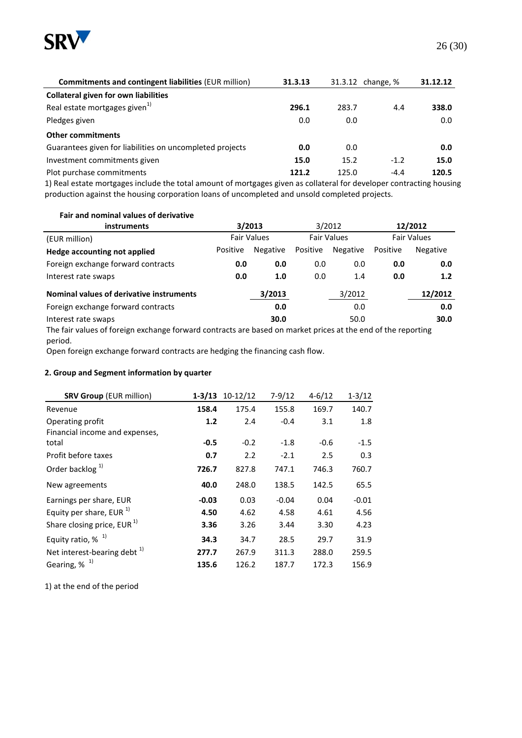

| <b>Commitments and contingent liabilities (EUR million)</b>                                                     | 31.3.13 | 31.3.12 change, % |        | 31.12.12 |
|-----------------------------------------------------------------------------------------------------------------|---------|-------------------|--------|----------|
| <b>Collateral given for own liabilities</b>                                                                     |         |                   |        |          |
| Real estate mortgages given <sup>1)</sup>                                                                       | 296.1   | 283.7             | 4.4    | 338.0    |
| Pledges given                                                                                                   | 0.0     | 0.0               |        | 0.0      |
| <b>Other commitments</b>                                                                                        |         |                   |        |          |
| Guarantees given for liabilities on uncompleted projects                                                        | 0.0     | 0.0               |        | 0.0      |
| Investment commitments given                                                                                    | 15.0    | 15.2              | $-1.2$ | 15.0     |
| Plot purchase commitments                                                                                       | 121.2   | 125.0             | $-4.4$ | 120.5    |
| 4). Deel aansne aansnessa taalishe ka kaasi omaana af arameessa olisia oo sallaksiid faa darabasa saankasanaana |         |                   |        |          |

1) Real estate mortgages include the total amount of mortgages given as collateral for developer contracting housing production against the housing corporation loans of uncompleted and unsold completed projects.

**Fair and nominal values of derivative** 

| <b>instruments</b>                                                                                           | 3/2013             |                 |          | 3/2012             | 12/2012            |                 |  |  |
|--------------------------------------------------------------------------------------------------------------|--------------------|-----------------|----------|--------------------|--------------------|-----------------|--|--|
| (EUR million)                                                                                                | <b>Fair Values</b> |                 |          | <b>Fair Values</b> | <b>Fair Values</b> |                 |  |  |
| Hedge accounting not applied                                                                                 | Positive           | <b>Negative</b> | Positive | <b>Negative</b>    | Positive           | <b>Negative</b> |  |  |
| Foreign exchange forward contracts                                                                           | 0.0                | 0.0             | 0.0      | 0.0                | 0.0                | 0.0             |  |  |
| Interest rate swaps                                                                                          | 0.0                | 1.0             | 0.0      | 1.4                | 0.0                | 1.2             |  |  |
| Nominal values of derivative instruments                                                                     |                    | 3/2013          |          | 3/2012             |                    | 12/2012         |  |  |
| Foreign exchange forward contracts                                                                           |                    | 0.0             |          | 0.0                |                    | 0.0             |  |  |
| Interest rate swaps                                                                                          |                    | 30.0            |          | 50.0               |                    | 30.0            |  |  |
| The fair values of foreign exchange forward contracts are based on market prices at the end of the reporting |                    |                 |          |                    |                    |                 |  |  |

period. Open foreign exchange forward contracts are hedging the financing cash flow.

#### **2. Group and Segment information by quarter**

| <b>SRV Group (EUR million)</b>    |         | $1-3/13$ 10-12/12 | $7-9/12$ | $4 - 6/12$ | $1 - 3/12$ |
|-----------------------------------|---------|-------------------|----------|------------|------------|
| Revenue                           | 158.4   | 175.4             | 155.8    | 169.7      | 140.7      |
| Operating profit                  | 1.2     | 2.4               | $-0.4$   | 3.1        | 1.8        |
| Financial income and expenses,    |         |                   |          |            |            |
| total                             | $-0.5$  | $-0.2$            | $-1.8$   | $-0.6$     | $-1.5$     |
| Profit before taxes               | 0.7     | 2.2               | $-2.1$   | 2.5        | 0.3        |
| Order backlog <sup>1)</sup>       | 726.7   | 827.8             | 747.1    | 746.3      | 760.7      |
| New agreements                    | 40.0    | 248.0             | 138.5    | 142.5      | 65.5       |
| Earnings per share, EUR           | $-0.03$ | 0.03              | $-0.04$  | 0.04       | $-0.01$    |
| Equity per share, EUR $^{1}$      | 4.50    | 4.62              | 4.58     | 4.61       | 4.56       |
| Share closing price, $EUR1$       | 3.36    | 3.26              | 3.44     | 3.30       | 4.23       |
| Equity ratio, $%$ <sup>1)</sup>   | 34.3    | 34.7              | 28.5     | 29.7       | 31.9       |
| Net interest-bearing debt $^{1)}$ | 277.7   | 267.9             | 311.3    | 288.0      | 259.5      |
| Gearing, $%$ <sup>1)</sup>        | 135.6   | 126.2             | 187.7    | 172.3      | 156.9      |

1) at the end of the period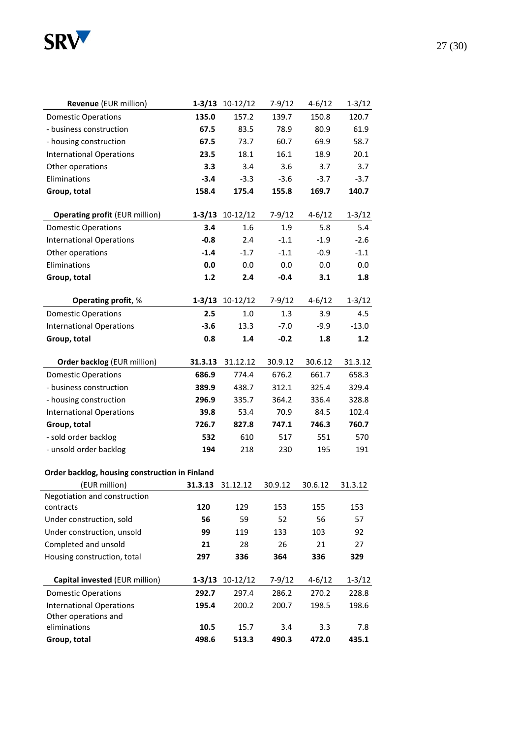

Other operations and

| <b>Revenue</b> (EUR million)                   |         | $1-3/13$ $10-12/12$ | $7-9/12$ | $4 - 6/12$ | $1 - 3/12$ |
|------------------------------------------------|---------|---------------------|----------|------------|------------|
| <b>Domestic Operations</b>                     | 135.0   | 157.2               | 139.7    | 150.8      | 120.7      |
| - business construction                        | 67.5    | 83.5                | 78.9     | 80.9       | 61.9       |
| - housing construction                         | 67.5    | 73.7                | 60.7     | 69.9       | 58.7       |
| <b>International Operations</b>                | 23.5    | 18.1                | 16.1     | 18.9       | 20.1       |
| Other operations                               | 3.3     | 3.4                 | 3.6      | 3.7        | 3.7        |
| Eliminations                                   | $-3.4$  | $-3.3$              | $-3.6$   | $-3.7$     | $-3.7$     |
| Group, total                                   | 158.4   | 175.4               | 155.8    | 169.7      | 140.7      |
| <b>Operating profit (EUR million)</b>          |         | $1-3/13$ $10-12/12$ | $7-9/12$ | $4 - 6/12$ | $1 - 3/12$ |
| <b>Domestic Operations</b>                     | 3.4     | 1.6                 | 1.9      | 5.8        | 5.4        |
| <b>International Operations</b>                | $-0.8$  | 2.4                 | $-1.1$   | $-1.9$     | $-2.6$     |
| Other operations                               | $-1.4$  | $-1.7$              | $-1.1$   | $-0.9$     | $-1.1$     |
| Eliminations                                   | 0.0     | 0.0                 | 0.0      | 0.0        | 0.0        |
| Group, total                                   | $1.2$   | 2.4                 | $-0.4$   | 3.1        | 1.8        |
| <b>Operating profit, %</b>                     |         | $1-3/13$ $10-12/12$ | $7-9/12$ | $4 - 6/12$ | $1 - 3/12$ |
| <b>Domestic Operations</b>                     | 2.5     | 1.0                 | 1.3      | 3.9        | 4.5        |
| <b>International Operations</b>                | $-3.6$  | 13.3                | $-7.0$   | $-9.9$     | $-13.0$    |
| Group, total                                   | 0.8     | 1.4                 | $-0.2$   | 1.8        | 1.2        |
|                                                |         |                     |          |            |            |
| <b>Order backlog (EUR million)</b>             | 31.3.13 | 31.12.12            | 30.9.12  | 30.6.12    | 31.3.12    |
| <b>Domestic Operations</b>                     | 686.9   | 774.4               | 676.2    | 661.7      | 658.3      |
| - business construction                        | 389.9   | 438.7               | 312.1    | 325.4      | 329.4      |
| - housing construction                         | 296.9   | 335.7               | 364.2    | 336.4      | 328.8      |
| <b>International Operations</b>                | 39.8    | 53.4                | 70.9     | 84.5       | 102.4      |
| Group, total                                   | 726.7   | 827.8               | 747.1    | 746.3      | 760.7      |
| - sold order backlog                           | 532     | 610                 | 517      | 551        | 570        |
| - unsold order backlog                         | 194     | 218                 | 230      | 195        | 191        |
| Order backlog, housing construction in Finland |         |                     |          |            |            |
| (EUR million)                                  | 31.3.13 | 31.12.12            | 30.9.12  | 30.6.12    | 31.3.12    |
| Negotiation and construction                   |         |                     |          |            |            |
| contracts                                      | 120     | 129                 | 153      | 155        | 153        |
| Under construction, sold                       | 56      | 59                  | 52       | 56         | 57         |
| Under construction, unsold                     | 99      | 119                 | 133      | 103        | 92         |
| Completed and unsold                           | 21      | 28                  | 26       | 21         | 27         |
| Housing construction, total                    | 297     | 336                 | 364      | 336        | 329        |

**Capital invested** (EUR million) **1-3/13** 10-12/12 7-9/12 4-6/12 1-3/12 Domestic Operations **292.7** 297.4 286.2 270.2 228.8 International Operations **195.4** 200.2 200.7 198.5 198.6

eliminations **10.5** 15.7 3.4 3.3 7.8 **Group, total 498.6 513.3 490.3 472.0 435.1**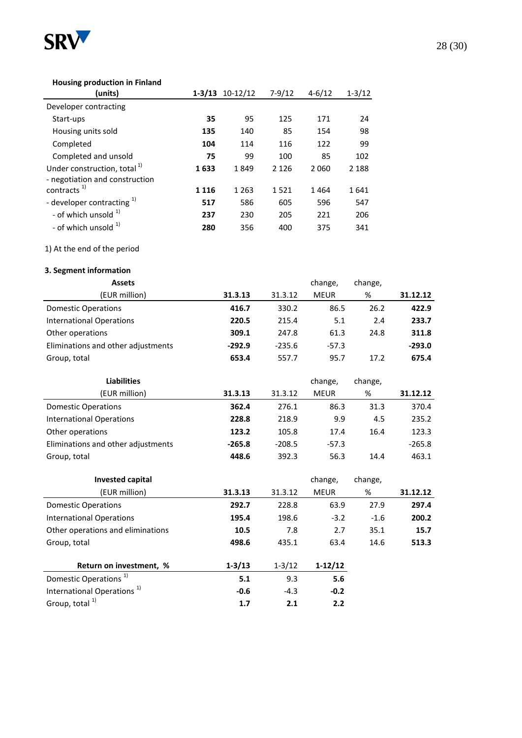

#### **Housing production in Finland**

| (units)                                 |         | $1 - 3/13$ $10 - 12/12$ | $7 - 9/12$ | $4 - 6/12$ | $1 - 3/12$ |
|-----------------------------------------|---------|-------------------------|------------|------------|------------|
| Developer contracting                   |         |                         |            |            |            |
| Start-ups                               | 35      | 95                      | 125        | 171        | 24         |
| Housing units sold                      | 135     | 140                     | 85         | 154        | 98         |
| Completed                               | 104     | 114                     | 116        | 122        | 99         |
| Completed and unsold                    | 75      | 99                      | 100        | 85         | 102        |
| Under construction, total <sup>1)</sup> | 1633    | 1849                    | 2 1 2 6    | 2060       | 2 1 8 8    |
| - negotiation and construction          |         |                         |            |            |            |
| contracts <sup>1)</sup>                 | 1 1 1 6 | 1 2 6 3                 | 1521       | 1464       | 1641       |
| - developer contracting <sup>1)</sup>   | 517     | 586                     | 605        | 596        | 547        |
| - of which unsold $1$                   | 237     | 230                     | 205        | 221        | 206        |
| - of which unsold $1$                   | 280     | 356                     | 400        | 375        | 341        |

#### 1) At the end of the period

#### **3. Segment information**

| <b>Assets</b>                      |          |          | change,     | change, |          |
|------------------------------------|----------|----------|-------------|---------|----------|
| (EUR million)                      | 31.3.13  | 31.3.12  | <b>MEUR</b> | %       | 31.12.12 |
| <b>Domestic Operations</b>         | 416.7    | 330.2    | 86.5        | 26.2    | 422.9    |
| <b>International Operations</b>    | 220.5    | 215.4    | 5.1         | 2.4     | 233.7    |
| Other operations                   | 309.1    | 247.8    | 61.3        | 24.8    | 311.8    |
| Eliminations and other adjustments | $-292.9$ | $-235.6$ | $-57.3$     |         | $-293.0$ |
| Group, total                       | 653.4    | 557.7    | 95.7        | 17.2    | 675.4    |

| <b>Liabilities</b>                 |          |          | change,     | change, |          |
|------------------------------------|----------|----------|-------------|---------|----------|
| (EUR million)                      | 31.3.13  | 31.3.12  | <b>MEUR</b> | %       | 31.12.12 |
| <b>Domestic Operations</b>         | 362.4    | 276.1    | 86.3        | 31.3    | 370.4    |
| International Operations           | 228.8    | 218.9    | 9.9         | 4.5     | 235.2    |
| Other operations                   | 123.2    | 105.8    | 17.4        | 16.4    | 123.3    |
| Eliminations and other adjustments | $-265.8$ | $-208.5$ | $-57.3$     |         | $-265.8$ |
| Group, total                       | 448.6    | 392.3    | 56.3        | 14.4    | 463.1    |

| <b>Invested capital</b>                |            |            | change,     | change, |          |
|----------------------------------------|------------|------------|-------------|---------|----------|
| (EUR million)                          | 31.3.13    | 31.3.12    | <b>MEUR</b> | %       | 31.12.12 |
| Domestic Operations                    | 292.7      | 228.8      | 63.9        | 27.9    | 297.4    |
| <b>International Operations</b>        | 195.4      | 198.6      | $-3.2$      | $-1.6$  | 200.2    |
| Other operations and eliminations      | 10.5       | 7.8        | 2.7         | 35.1    | 15.7     |
| Group, total                           | 498.6      | 435.1      | 63.4        | 14.6    | 513.3    |
| Return on investment, %                | $1 - 3/13$ | $1 - 3/12$ | $1-12/12$   |         |          |
| Domestic Operations <sup>1)</sup>      | 5.1        | 9.3        | 5.6         |         |          |
| International Operations <sup>1)</sup> | $-0.6$     | $-4.3$     | $-0.2$      |         |          |
| Group, total <sup>1)</sup>             | 1.7        | 2.1        | 2.2         |         |          |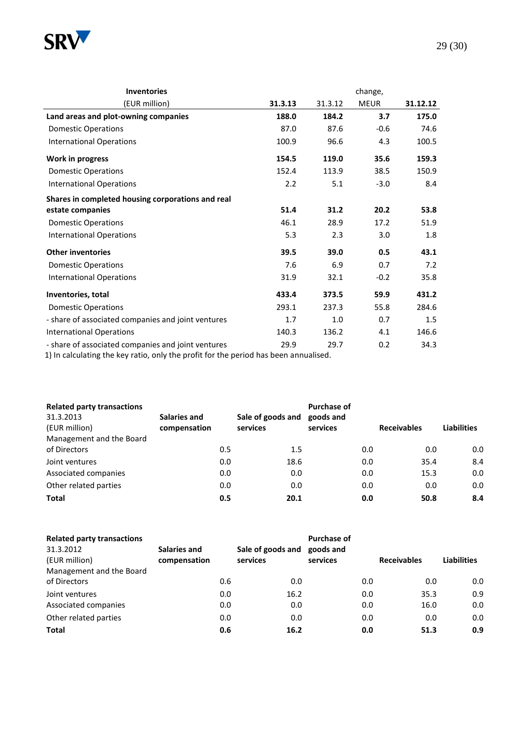

| <b>Inventories</b>                                 | change, |         |             |          |  |  |
|----------------------------------------------------|---------|---------|-------------|----------|--|--|
| (EUR million)                                      | 31.3.13 | 31.3.12 | <b>MEUR</b> | 31.12.12 |  |  |
| Land areas and plot-owning companies               | 188.0   | 184.2   | 3.7         | 175.0    |  |  |
| <b>Domestic Operations</b>                         | 87.0    | 87.6    | $-0.6$      | 74.6     |  |  |
| <b>International Operations</b>                    | 100.9   | 96.6    | 4.3         | 100.5    |  |  |
| Work in progress                                   | 154.5   | 119.0   | 35.6        | 159.3    |  |  |
| <b>Domestic Operations</b>                         | 152.4   | 113.9   | 38.5        | 150.9    |  |  |
| <b>International Operations</b>                    | 2.2     | 5.1     | $-3.0$      | 8.4      |  |  |
| Shares in completed housing corporations and real  |         |         |             |          |  |  |
| estate companies                                   | 51.4    | 31.2    | 20.2        | 53.8     |  |  |
| <b>Domestic Operations</b>                         | 46.1    | 28.9    | 17.2        | 51.9     |  |  |
| <b>International Operations</b>                    | 5.3     | 2.3     | 3.0         | 1.8      |  |  |
| <b>Other inventories</b>                           | 39.5    | 39.0    | 0.5         | 43.1     |  |  |
| <b>Domestic Operations</b>                         | 7.6     | 6.9     | 0.7         | 7.2      |  |  |
| <b>International Operations</b>                    | 31.9    | 32.1    | $-0.2$      | 35.8     |  |  |
| Inventories, total                                 | 433.4   | 373.5   | 59.9        | 431.2    |  |  |
| <b>Domestic Operations</b>                         | 293.1   | 237.3   | 55.8        | 284.6    |  |  |
| - share of associated companies and joint ventures | 1.7     | 1.0     | 0.7         | 1.5      |  |  |
| <b>International Operations</b>                    | 140.3   | 136.2   | 4.1         | 146.6    |  |  |
| - share of associated companies and joint ventures | 29.9    | 29.7    | 0.2         | 34.3     |  |  |

1) In calculating the key ratio, only the profit for the period has been annualised.

| <b>Related party transactions</b> |              |     |                   | Purchase of |     |                    |                    |
|-----------------------------------|--------------|-----|-------------------|-------------|-----|--------------------|--------------------|
| 31.3.2013                         | Salaries and |     | Sale of goods and | goods and   |     |                    |                    |
| (EUR million)                     | compensation |     | services          | services    |     | <b>Receivables</b> | <b>Liabilities</b> |
| Management and the Board          |              |     |                   |             |     |                    |                    |
| of Directors                      |              | 0.5 | 1.5               |             | 0.0 | 0.0                | 0.0                |
| Joint ventures                    |              | 0.0 | 18.6              |             | 0.0 | 35.4               | 8.4                |
| Associated companies              |              | 0.0 | 0.0               |             | 0.0 | 15.3               | 0.0                |
| Other related parties             |              | 0.0 | 0.0               |             | 0.0 | 0.0                | 0.0                |
| <b>Total</b>                      |              | 0.5 | 20.1              |             | 0.0 | 50.8               | 8.4                |

| <b>Related party transactions</b> |              |                   | Purchase of |                    |                    |
|-----------------------------------|--------------|-------------------|-------------|--------------------|--------------------|
| 31.3.2012                         | Salaries and | Sale of goods and | goods and   |                    |                    |
| (EUR million)                     | compensation | services          | services    | <b>Receivables</b> | <b>Liabilities</b> |
| Management and the Board          |              |                   |             |                    |                    |
| of Directors                      | 0.6          | 0.0               | 0.0         | 0.0                | 0.0                |
| Joint ventures                    | 0.0          | 16.2              | 0.0         | 35.3               | 0.9                |
| Associated companies              | 0.0          | 0.0               | 0.0         | 16.0               | 0.0                |
| Other related parties             | 0.0          | 0.0               | 0.0         | 0.0                | 0.0                |
| <b>Total</b>                      | 0.6          | 16.2              | 0.0         | 51.3               | 0.9                |